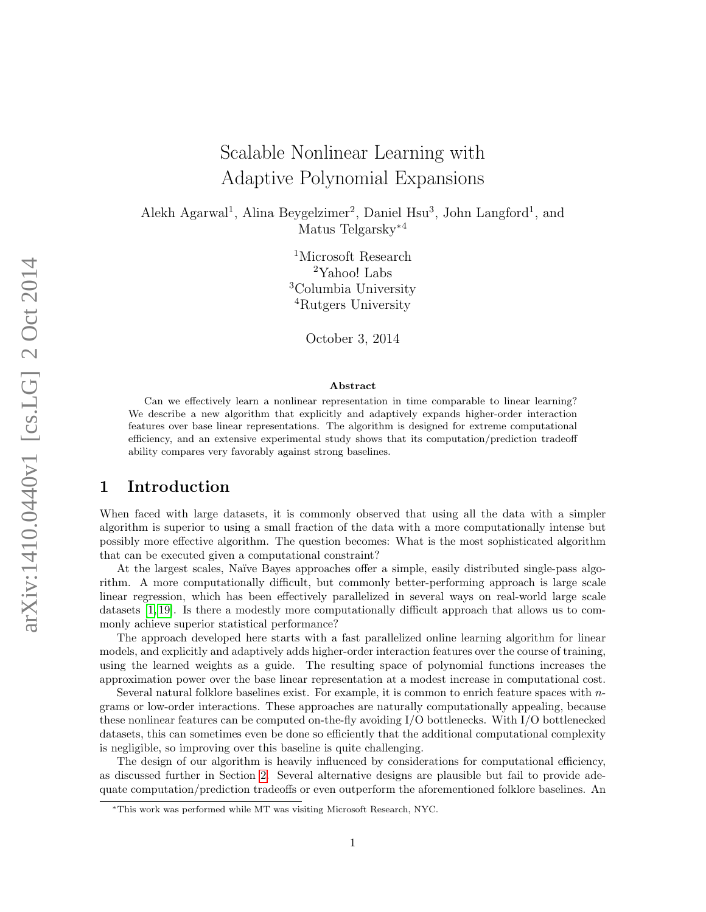# Scalable Nonlinear Learning with Adaptive Polynomial Expansions

Alekh Agarwal<sup>1</sup>, Alina Beygelzimer<sup>2</sup>, Daniel Hsu<sup>3</sup>, John Langford<sup>1</sup>, and Matus Telgarsky<sup>\*4</sup>

> <sup>1</sup>Microsoft Research Yahoo! Labs Columbia University Rutgers University

> > October 3, 2014

#### Abstract

Can we effectively learn a nonlinear representation in time comparable to linear learning? We describe a new algorithm that explicitly and adaptively expands higher-order interaction features over base linear representations. The algorithm is designed for extreme computational efficiency, and an extensive experimental study shows that its computation/prediction tradeoff ability compares very favorably against strong baselines.

### 1 Introduction

When faced with large datasets, it is commonly observed that using all the data with a simpler algorithm is superior to using a small fraction of the data with a more computationally intense but possibly more effective algorithm. The question becomes: What is the most sophisticated algorithm that can be executed given a computational constraint?

At the largest scales, Naïve Bayes approaches offer a simple, easily distributed single-pass algorithm. A more computationally difficult, but commonly better-performing approach is large scale linear regression, which has been effectively parallelized in several ways on real-world large scale datasets [\[1,](#page-9-0) [19\]](#page-10-0). Is there a modestly more computationally difficult approach that allows us to commonly achieve superior statistical performance?

The approach developed here starts with a fast parallelized online learning algorithm for linear models, and explicitly and adaptively adds higher-order interaction features over the course of training, using the learned weights as a guide. The resulting space of polynomial functions increases the approximation power over the base linear representation at a modest increase in computational cost.

Several natural folklore baselines exist. For example, it is common to enrich feature spaces with  $n$ grams or low-order interactions. These approaches are naturally computationally appealing, because these nonlinear features can be computed on-the-fly avoiding I/O bottlenecks. With I/O bottlenecked datasets, this can sometimes even be done so efficiently that the additional computational complexity is negligible, so improving over this baseline is quite challenging.

The design of our algorithm is heavily influenced by considerations for computational efficiency, as discussed further in Section [2.](#page-2-0) Several alternative designs are plausible but fail to provide adequate computation/prediction tradeoffs or even outperform the aforementioned folklore baselines. An

<sup>∗</sup>This work was performed while MT was visiting Microsoft Research, NYC.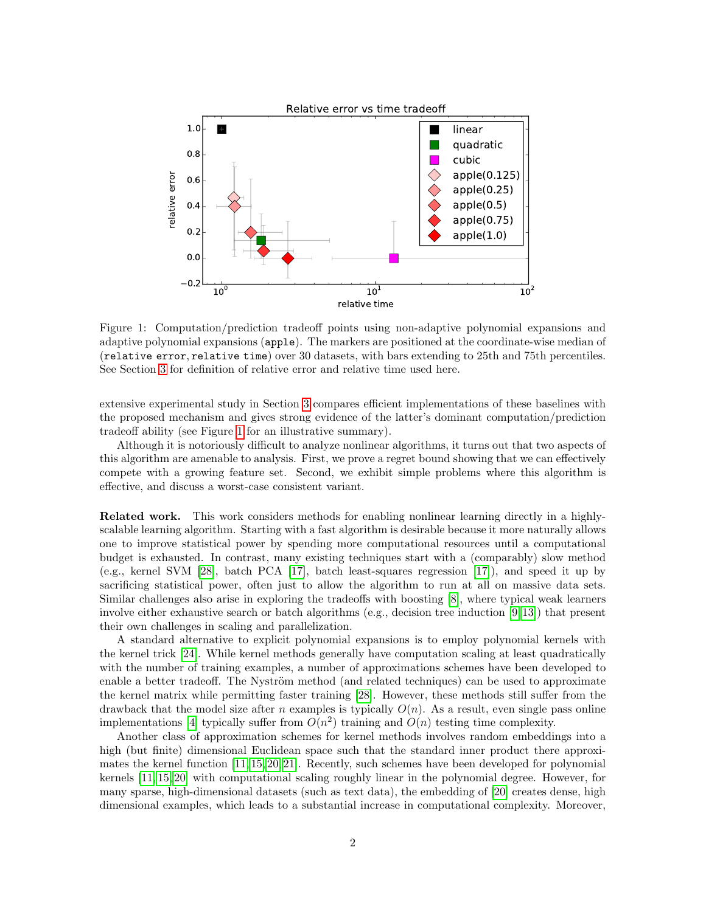

<span id="page-1-0"></span>Figure 1: Computation/prediction tradeoff points using non-adaptive polynomial expansions and adaptive polynomial expansions (apple). The markers are positioned at the coordinate-wise median of (relative error, relative time) over 30 datasets, with bars extending to 25th and 75th percentiles. See Section [3](#page-5-0) for definition of relative error and relative time used here.

extensive experimental study in Section [3](#page-5-0) compares efficient implementations of these baselines with the proposed mechanism and gives strong evidence of the latter's dominant computation/prediction tradeoff ability (see Figure [1](#page-1-0) for an illustrative summary).

Although it is notoriously difficult to analyze nonlinear algorithms, it turns out that two aspects of this algorithm are amenable to analysis. First, we prove a regret bound showing that we can effectively compete with a growing feature set. Second, we exhibit simple problems where this algorithm is effective, and discuss a worst-case consistent variant.

Related work. This work considers methods for enabling nonlinear learning directly in a highlyscalable learning algorithm. Starting with a fast algorithm is desirable because it more naturally allows one to improve statistical power by spending more computational resources until a computational budget is exhausted. In contrast, many existing techniques start with a (comparably) slow method (e.g., kernel SVM [\[28\]](#page-10-1), batch PCA [\[17\]](#page-10-2), batch least-squares regression [\[17\]](#page-10-2)), and speed it up by sacrificing statistical power, often just to allow the algorithm to run at all on massive data sets. Similar challenges also arise in exploring the tradeoffs with boosting [\[8\]](#page-9-1), where typical weak learners involve either exhaustive search or batch algorithms (e.g., decision tree induction [\[9,](#page-9-2) [13\]](#page-9-3)) that present their own challenges in scaling and parallelization.

A standard alternative to explicit polynomial expansions is to employ polynomial kernels with the kernel trick [\[24\]](#page-10-3). While kernel methods generally have computation scaling at least quadratically with the number of training examples, a number of approximations schemes have been developed to enable a better tradeoff. The Nyström method (and related techniques) can be used to approximate the kernel matrix while permitting faster training [\[28\]](#page-10-1). However, these methods still suffer from the drawback that the model size after n examples is typically  $O(n)$ . As a result, even single pass online implementations [\[4\]](#page-9-4) typically suffer from  $O(n^2)$  training and  $O(n)$  testing time complexity.

Another class of approximation schemes for kernel methods involves random embeddings into a high (but finite) dimensional Euclidean space such that the standard inner product there approximates the kernel function [\[11,](#page-9-5) [15,](#page-10-4) [20,](#page-10-5) [21\]](#page-10-6). Recently, such schemes have been developed for polynomial kernels [\[11,](#page-9-5) [15,](#page-10-4) [20\]](#page-10-5) with computational scaling roughly linear in the polynomial degree. However, for many sparse, high-dimensional datasets (such as text data), the embedding of [\[20\]](#page-10-5) creates dense, high dimensional examples, which leads to a substantial increase in computational complexity. Moreover,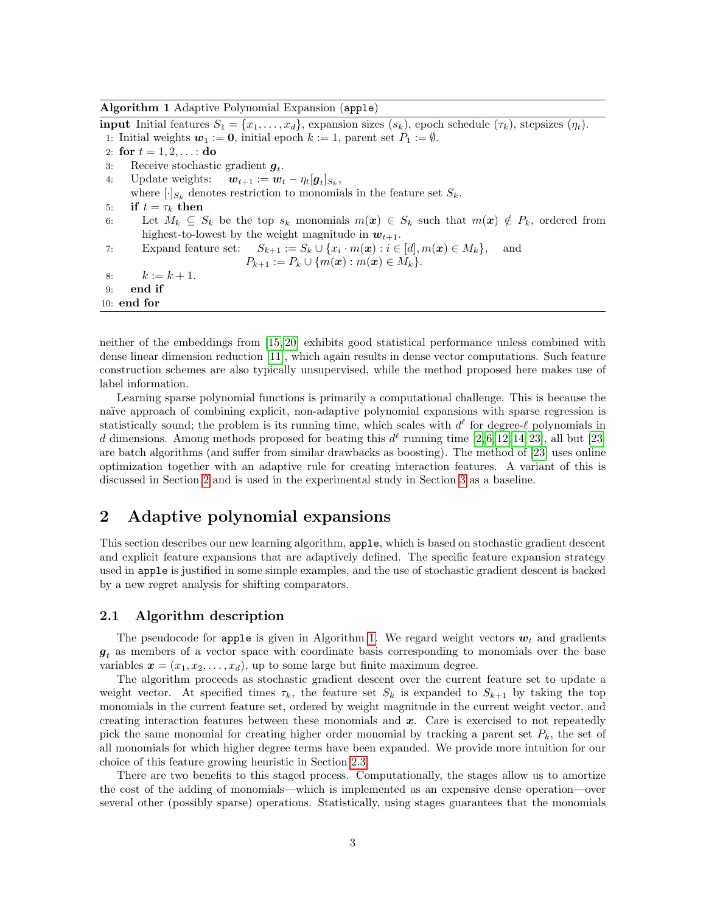Algorithm 1 Adaptive Polynomial Expansion (apple)

<span id="page-2-1"></span>**input** Initial features  $S_1 = \{x_1, \ldots, x_d\}$ , expansion sizes  $(s_k)$ , epoch schedule  $(\tau_k)$ , stepsizes  $(\eta_t)$ . 1: Initial weights  $w_1 := 0$ , initial epoch  $k := 1$ , parent set  $P_1 := \emptyset$ . 2: for  $t = 1, 2, ...$ : do 3: Receive stochastic gradient  $g_t$ . 4: Update weights:  $\mathbf{w}_{t+1} := \mathbf{w}_t - \eta_t[\mathbf{g}_t]_{S_k},$ where  $[\cdot]_{S_k}$  denotes restriction to monomials in the feature set  $S_k$ . 5: if  $t = \tau_k$  then 6: Let  $M_k \subseteq S_k$  be the top  $s_k$  monomials  $m(x) \in S_k$  such that  $m(x) \notin P_k$ , ordered from highest-to-lowest by the weight magnitude in  $w_{t+1}$ . 7: Expand feature set:  $S_{k+1} := S_k \cup \{x_i \cdot m(\boldsymbol{x}) : i \in [d], m(\boldsymbol{x}) \in M_k\},\$ and  $P_{k+1} := P_k \cup \{m(\boldsymbol{x}) : m(\boldsymbol{x}) \in M_k\}.$ 8:  $k := k + 1$ . 9: end if 10: end for

<span id="page-2-2"></span>neither of the embeddings from [\[15,](#page-10-4) [20\]](#page-10-5) exhibits good statistical performance unless combined with dense linear dimension reduction [\[11\]](#page-9-5), which again results in dense vector computations. Such feature construction schemes are also typically unsupervised, while the method proposed here makes use of label information.

Learning sparse polynomial functions is primarily a computational challenge. This is because the na¨ıve approach of combining explicit, non-adaptive polynomial expansions with sparse regression is statistically sound; the problem is its running time, which scales with  $d^{\ell}$  for degree- $\ell$  polynomials in d dimensions. Among methods proposed for beating this  $d^{\ell}$  running time [\[2,](#page-9-6) [6,](#page-9-7) [12,](#page-9-8) [14,](#page-9-9) [23\]](#page-10-7), all but [\[23\]](#page-10-7) are batch algorithms (and suffer from similar drawbacks as boosting). The method of [\[23\]](#page-10-7) uses online optimization together with an adaptive rule for creating interaction features. A variant of this is discussed in Section [2](#page-2-0) and is used in the experimental study in Section [3](#page-5-0) as a baseline.

## <span id="page-2-0"></span>2 Adaptive polynomial expansions

This section describes our new learning algorithm, apple, which is based on stochastic gradient descent and explicit feature expansions that are adaptively defined. The specific feature expansion strategy used in apple is justified in some simple examples, and the use of stochastic gradient descent is backed by a new regret analysis for shifting comparators.

### 2.1 Algorithm description

The pseudocode for apple is given in Algorithm [1.](#page-2-1) We regard weight vectors  $w_t$  and gradients  $g_t$  as members of a vector space with coordinate basis corresponding to monomials over the base variables  $\mathbf{x} = (x_1, x_2, \dots, x_d)$ , up to some large but finite maximum degree.

The algorithm proceeds as stochastic gradient descent over the current feature set to update a weight vector. At specified times  $\tau_k$ , the feature set  $S_k$  is expanded to  $S_{k+1}$  by taking the top monomials in the current feature set, ordered by weight magnitude in the current weight vector, and creating interaction features between these monomials and  $x$ . Care is exercised to not repeatedly pick the same monomial for creating higher order monomial by tracking a parent set  $P_k$ , the set of all monomials for which higher degree terms have been expanded. We provide more intuition for our choice of this feature growing heuristic in Section [2.3.](#page-4-0)

There are two benefits to this staged process. Computationally, the stages allow us to amortize the cost of the adding of monomials—which is implemented as an expensive dense operation—over several other (possibly sparse) operations. Statistically, using stages guarantees that the monomials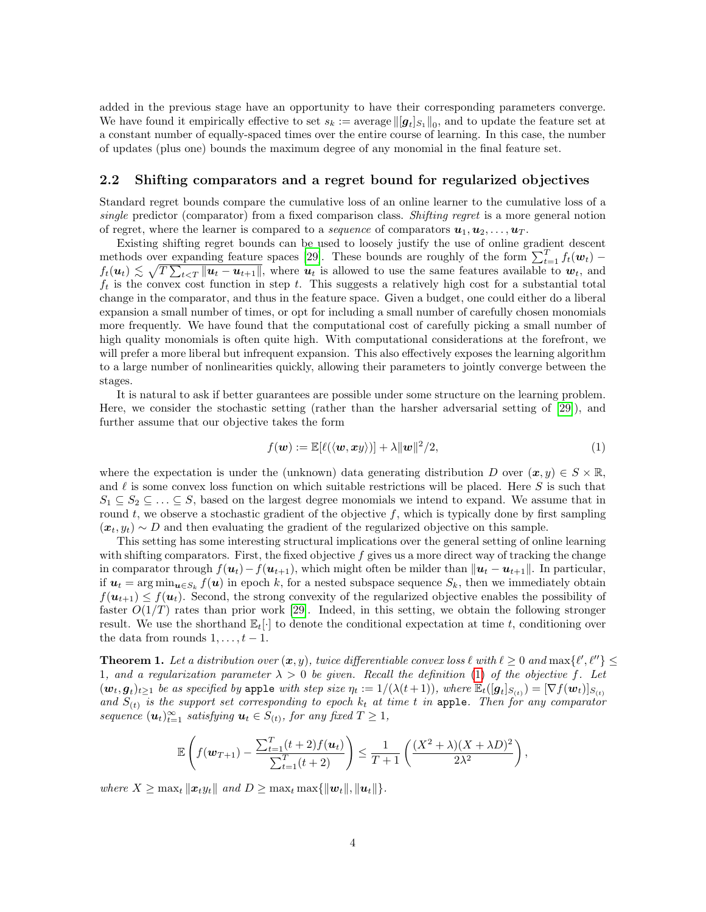added in the previous stage have an opportunity to have their corresponding parameters converge. We have found it empirically effective to set  $s_k := \text{average} ||[g_t]_{S_1}||_0$ , and to update the feature set at a constant number of equally-spaced times over the entire course of learning. In this case, the number of updates (plus one) bounds the maximum degree of any monomial in the final feature set.

#### <span id="page-3-2"></span>2.2 Shifting comparators and a regret bound for regularized objectives

Standard regret bounds compare the cumulative loss of an online learner to the cumulative loss of a single predictor (comparator) from a fixed comparison class. Shifting regret is a more general notion of regret, where the learner is compared to a *sequence* of comparators  $u_1, u_2, \ldots, u_T$ .

Existing shifting regret bounds can be used to loosely justify the use of online gradient descent methods over expanding feature spaces [\[29\]](#page-10-8). These bounds are roughly of the form  $\sum_{t=1}^{T} f_t(w_t)$  –  $f_t(\boldsymbol{u}_t) \lesssim \sqrt{T \sum_{t \leq T} ||\boldsymbol{u}_t - \boldsymbol{u}_{t+1}||}$ , where  $\boldsymbol{u}_t$  is allowed to use the same features available to  $\boldsymbol{w}_t$ , and  $f_t$  is the convex cost function in step t. This suggests a relatively high cost for a substantial total change in the comparator, and thus in the feature space. Given a budget, one could either do a liberal expansion a small number of times, or opt for including a small number of carefully chosen monomials more frequently. We have found that the computational cost of carefully picking a small number of high quality monomials is often quite high. With computational considerations at the forefront, we will prefer a more liberal but infrequent expansion. This also effectively exposes the learning algorithm to a large number of nonlinearities quickly, allowing their parameters to jointly converge between the stages.

It is natural to ask if better guarantees are possible under some structure on the learning problem. Here, we consider the stochastic setting (rather than the harsher adversarial setting of [\[29\]](#page-10-8)), and further assume that our objective takes the form

<span id="page-3-0"></span>
$$
f(\boldsymbol{w}) := \mathbb{E}[\ell(\langle \boldsymbol{w}, \boldsymbol{x} \boldsymbol{y} \rangle)] + \lambda \|\boldsymbol{w}\|^2 / 2, \tag{1}
$$

where the expectation is under the (unknown) data generating distribution D over  $(x, y) \in S \times \mathbb{R}$ , and  $\ell$  is some convex loss function on which suitable restrictions will be placed. Here S is such that  $S_1 \subseteq S_2 \subseteq \ldots \subseteq S$ , based on the largest degree monomials we intend to expand. We assume that in round t, we observe a stochastic gradient of the objective  $f$ , which is typically done by first sampling  $(x_t, y_t) \sim D$  and then evaluating the gradient of the regularized objective on this sample.

This setting has some interesting structural implications over the general setting of online learning with shifting comparators. First, the fixed objective  $f$  gives us a more direct way of tracking the change in comparator through  $f(u_t)-f(u_{t+1})$ , which might often be milder than  $||u_t - u_{t+1}||$ . In particular, if  $u_t = \arg \min_{u \in S_k} f(u)$  in epoch k, for a nested subspace sequence  $S_k$ , then we immediately obtain  $f(u_{t+1}) \leq f(u_t)$ . Second, the strong convexity of the regularized objective enables the possibility of faster  $O(1/T)$  rates than prior work [\[29\]](#page-10-8). Indeed, in this setting, we obtain the following stronger result. We use the shorthand  $\mathbb{E}_t[\cdot]$  to denote the conditional expectation at time t, conditioning over the data from rounds  $1, \ldots, t-1$ .

<span id="page-3-1"></span>**Theorem 1.** Let a distribution over  $(x, y)$ , twice differentiable convex loss  $\ell$  with  $\ell \geq 0$  and  $\max{\ell', \ell''}} \leq$ 1, and a regularization parameter  $\lambda > 0$  be given. Recall the definition [\(1\)](#page-3-0) of the objective f. Let  $(w_t, g_t)_{t\geq 1}$  be as specified by apple with step size  $\eta_t := 1/(\lambda(t+1))$ , where  $\mathbb{E}_t([\mathbf{g}_t]_{S_{(t)}}) = [\nabla f(\mathbf{w}_t)]_{S_{(t)}}$ and  $S_{(t)}$  is the support set corresponding to epoch  $k_t$  at time t in apple. Then for any comparator sequence  $(\boldsymbol{u}_t)_{t=1}^{\infty}$  satisfying  $\boldsymbol{u}_t \in S_{(t)}$ , for any fixed  $T \geq 1$ ,

$$
\mathbb{E}\left(f(\mathbf{w}_{T+1}) - \frac{\sum_{t=1}^{T} (t+2) f(\mathbf{u}_t)}{\sum_{t=1}^{T} (t+2)}\right) \leq \frac{1}{T+1} \left(\frac{(X^2+\lambda)(X+\lambda D)^2}{2\lambda^2}\right),
$$

where  $X \geq \max_t ||x_t y_t||$  and  $D \geq \max_t \max{||w_t||, ||u_t||}.$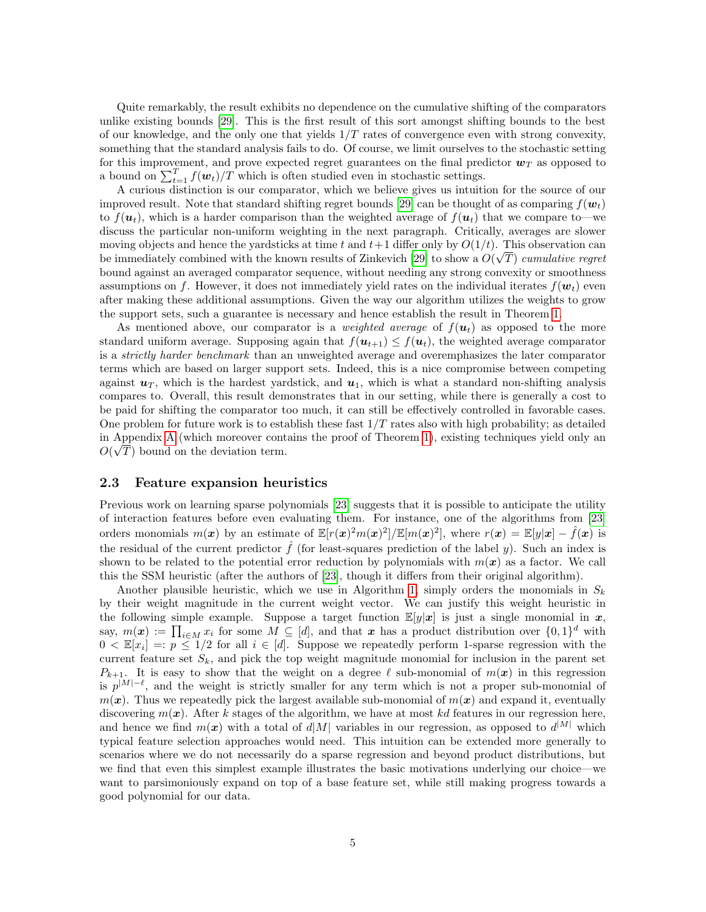Quite remarkably, the result exhibits no dependence on the cumulative shifting of the comparators unlike existing bounds [\[29\]](#page-10-8). This is the first result of this sort amongst shifting bounds to the best of our knowledge, and the only one that yields  $1/T$  rates of convergence even with strong convexity, something that the standard analysis fails to do. Of course, we limit ourselves to the stochastic setting for this improvement, and prove expected regret guarantees on the final predictor  $w_T$  as opposed to a bound on  $\sum_{t=1}^{T} f(w_t) / T$  which is often studied even in stochastic settings.

A curious distinction is our comparator, which we believe gives us intuition for the source of our improved result. Note that standard shifting regret bounds [\[29\]](#page-10-8) can be thought of as comparing  $f(\mathbf{w}_t)$ to  $f(\mathbf{u}_t)$ , which is a harder comparison than the weighted average of  $f(\mathbf{u}_t)$  that we compare to—we discuss the particular non-uniform weighting in the next paragraph. Critically, averages are slower moving objects and hence the yardsticks at time t and  $t+1$  differ only by  $O(1/t)$ . This observation can be immediately combined with the known results of Zinkevich [\[29\]](#page-10-8) to show a  $O(\sqrt{T})$  cumulative regret bound against an averaged comparator sequence, without needing any strong convexity or smoothness assumptions on f. However, it does not immediately yield rates on the individual iterates  $f(\mathbf{w}_t)$  even after making these additional assumptions. Given the way our algorithm utilizes the weights to grow the support sets, such a guarantee is necessary and hence establish the result in Theorem [1.](#page-3-1)

As mentioned above, our comparator is a *weighted average* of  $f(u_t)$  as opposed to the more standard uniform average. Supposing again that  $f(\mathbf{u}_{t+1}) \leq f(\mathbf{u}_t)$ , the weighted average comparator is a strictly harder benchmark than an unweighted average and overemphasizes the later comparator terms which are based on larger support sets. Indeed, this is a nice compromise between competing against  $u_T$ , which is the hardest yardstick, and  $u_1$ , which is what a standard non-shifting analysis compares to. Overall, this result demonstrates that in our setting, while there is generally a cost to be paid for shifting the comparator too much, it can still be effectively controlled in favorable cases. One problem for future work is to establish these fast  $1/T$  rates also with high probability; as detailed in Appendix [A](#page-10-9) (which moreover contains the proof of Theorem [1\)](#page-3-1), existing techniques yield only an √  $O(\sqrt{T})$  bound on the deviation term.

#### <span id="page-4-0"></span>2.3 Feature expansion heuristics

Previous work on learning sparse polynomials [\[23\]](#page-10-7) suggests that it is possible to anticipate the utility of interaction features before even evaluating them. For instance, one of the algorithms from [\[23\]](#page-10-7) orders monomials  $m(\boldsymbol{x})$  by an estimate of  $\mathbb{E}[r(\boldsymbol{x})^2 m(\boldsymbol{x})^2] / \mathbb{E}[m(\boldsymbol{x})^2]$ , where  $r(\boldsymbol{x}) = \mathbb{E}[y|\boldsymbol{x}] - \hat{f}(\boldsymbol{x})$  is the residual of the current predictor  $\hat{f}$  (for least-squares prediction of the label y). Such an index is shown to be related to the potential error reduction by polynomials with  $m(x)$  as a factor. We call this the SSM heuristic (after the authors of [\[23\]](#page-10-7), though it differs from their original algorithm).

Another plausible heuristic, which we use in Algorithm [1,](#page-2-1) simply orders the monomials in  $S_k$ by their weight magnitude in the current weight vector. We can justify this weight heuristic in the following simple example. Suppose a target function  $\mathbb{E}[y|x]$  is just a single monomial in x, say,  $m(x) := \prod_{i \in M} x_i$  for some  $M \subseteq [d]$ , and that x has a product distribution over  $\{0,1\}^d$  with  $0 \lt E[x_i] =: p \le 1/2$  for all  $i \in [d]$ . Suppose we repeatedly perform 1-sparse regression with the current feature set  $S_k$ , and pick the top weight magnitude monomial for inclusion in the parent set  $P_{k+1}$ . It is easy to show that the weight on a degree  $\ell$  sub-monomial of  $m(x)$  in this regression is  $p^{|M|-\ell}$ , and the weight is strictly smaller for any term which is not a proper sub-monomial of  $m(x)$ . Thus we repeatedly pick the largest available sub-monomial of  $m(x)$  and expand it, eventually discovering  $m(x)$ . After k stages of the algorithm, we have at most kd features in our regression here, and hence we find  $m(x)$  with a total of  $d|M|$  variables in our regression, as opposed to  $d^{|M|}$  which typical feature selection approaches would need. This intuition can be extended more generally to scenarios where we do not necessarily do a sparse regression and beyond product distributions, but we find that even this simplest example illustrates the basic motivations underlying our choice—we want to parsimoniously expand on top of a base feature set, while still making progress towards a good polynomial for our data.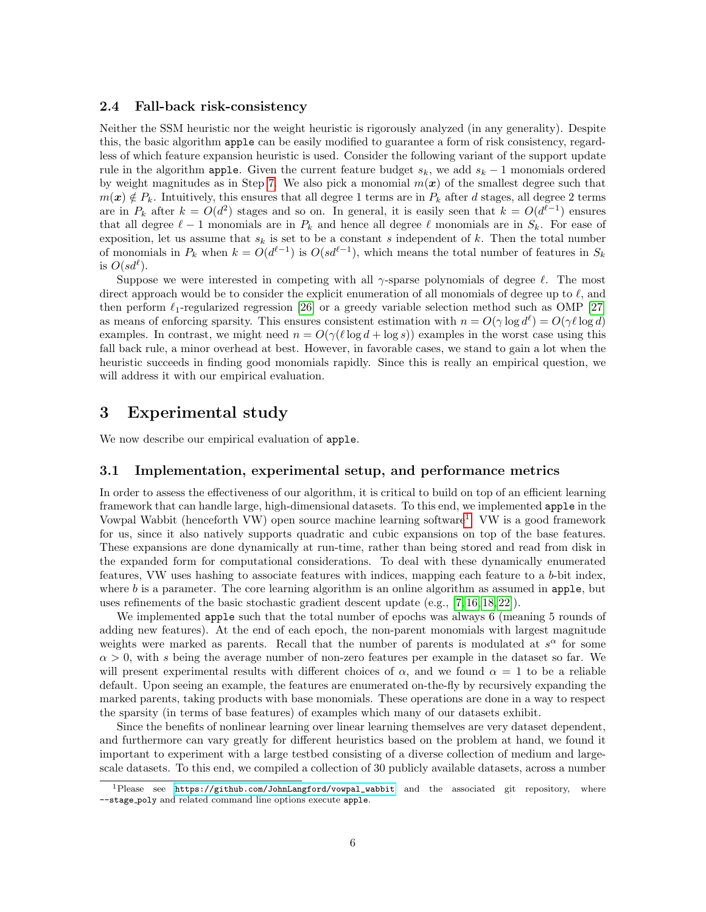### 2.4 Fall-back risk-consistency

Neither the SSM heuristic nor the weight heuristic is rigorously analyzed (in any generality). Despite this, the basic algorithm apple can be easily modified to guarantee a form of risk consistency, regardless of which feature expansion heuristic is used. Consider the following variant of the support update rule in the algorithm apple. Given the current feature budget  $s_k$ , we add  $s_k - 1$  monomials ordered by weight magnitudes as in Step [7.](#page-2-2) We also pick a monomial  $m(x)$  of the smallest degree such that  $m(x) \notin P_k$ . Intuitively, this ensures that all degree 1 terms are in  $P_k$  after d stages, all degree 2 terms are in  $P_k$  after  $k = O(d^2)$  stages and so on. In general, it is easily seen that  $k = O(d^{\ell-1})$  ensures that all degree  $\ell - 1$  monomials are in  $P_k$  and hence all degree  $\ell$  monomials are in  $S_k$ . For ease of exposition, let us assume that  $s_k$  is set to be a constant s independent of k. Then the total number of monomials in  $P_k$  when  $k = O(d^{\ell-1})$  is  $O(st^{\ell-1})$ , which means the total number of features in  $S_k$ is  $O(s d^{\ell}).$ 

Suppose we were interested in competing with all  $\gamma$ -sparse polynomials of degree  $\ell$ . The most direct approach would be to consider the explicit enumeration of all monomials of degree up to  $\ell$ , and then perform  $\ell_1$ -regularized regression [\[26\]](#page-10-10) or a greedy variable selection method such as OMP [\[27\]](#page-10-11) as means of enforcing sparsity. This ensures consistent estimation with  $n = O(\gamma \log d^{\ell}) = O(\gamma \ell \log d)$ examples. In contrast, we might need  $n = O(\gamma(\ell \log d + \log s))$  examples in the worst case using this fall back rule, a minor overhead at best. However, in favorable cases, we stand to gain a lot when the heuristic succeeds in finding good monomials rapidly. Since this is really an empirical question, we will address it with our empirical evaluation.

### <span id="page-5-0"></span>3 Experimental study

We now describe our empirical evaluation of apple.

### 3.1 Implementation, experimental setup, and performance metrics

In order to assess the effectiveness of our algorithm, it is critical to build on top of an efficient learning framework that can handle large, high-dimensional datasets. To this end, we implemented apple in the Vowpal Wabbit (henceforth VW) open source machine learning software<sup>[1](#page-5-1)</sup>. VW is a good framework for us, since it also natively supports quadratic and cubic expansions on top of the base features. These expansions are done dynamically at run-time, rather than being stored and read from disk in the expanded form for computational considerations. To deal with these dynamically enumerated features, VW uses hashing to associate features with indices, mapping each feature to a b-bit index, where  $b$  is a parameter. The core learning algorithm is an online algorithm as assumed in apple, but uses refinements of the basic stochastic gradient descent update (e.g., [\[7,](#page-9-10) [16,](#page-10-12) [18,](#page-10-13) [22\]](#page-10-14)).

We implemented apple such that the total number of epochs was always 6 (meaning 5 rounds of adding new features). At the end of each epoch, the non-parent monomials with largest magnitude weights were marked as parents. Recall that the number of parents is modulated at  $s^{\alpha}$  for some  $\alpha > 0$ , with s being the average number of non-zero features per example in the dataset so far. We will present experimental results with different choices of  $\alpha$ , and we found  $\alpha = 1$  to be a reliable default. Upon seeing an example, the features are enumerated on-the-fly by recursively expanding the marked parents, taking products with base monomials. These operations are done in a way to respect the sparsity (in terms of base features) of examples which many of our datasets exhibit.

Since the benefits of nonlinear learning over linear learning themselves are very dataset dependent, and furthermore can vary greatly for different heuristics based on the problem at hand, we found it important to experiment with a large testbed consisting of a diverse collection of medium and largescale datasets. To this end, we compiled a collection of 30 publicly available datasets, across a number

<span id="page-5-1"></span><sup>1</sup>Please see [https://github.com/JohnLangford/vowpal\\_wabbit](https://github.com/JohnLangford/vowpal_wabbit) and the associated git repository, where --stage poly and related command line options execute apple.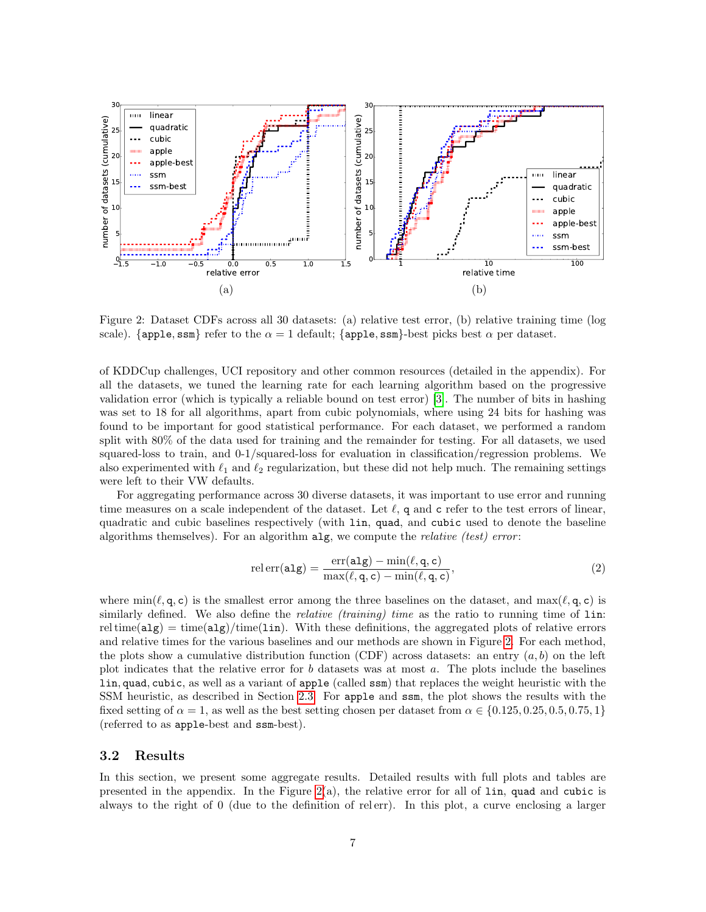

<span id="page-6-0"></span>Figure 2: Dataset CDFs across all 30 datasets: (a) relative test error, (b) relative training time (log scale). {apple, ssm} refer to the  $\alpha = 1$  default; {apple, ssm}-best picks best  $\alpha$  per dataset.

of KDDCup challenges, UCI repository and other common resources (detailed in the appendix). For all the datasets, we tuned the learning rate for each learning algorithm based on the progressive validation error (which is typically a reliable bound on test error) [\[3\]](#page-9-11). The number of bits in hashing was set to 18 for all algorithms, apart from cubic polynomials, where using 24 bits for hashing was found to be important for good statistical performance. For each dataset, we performed a random split with 80% of the data used for training and the remainder for testing. For all datasets, we used squared-loss to train, and 0-1/squared-loss for evaluation in classification/regression problems. We also experimented with  $\ell_1$  and  $\ell_2$  regularization, but these did not help much. The remaining settings were left to their VW defaults.

For aggregating performance across 30 diverse datasets, it was important to use error and running time measures on a scale independent of the dataset. Let  $\ell$ , q and c refer to the test errors of linear, quadratic and cubic baselines respectively (with lin, quad, and cubic used to denote the baseline algorithms themselves). For an algorithm  $\text{alg}$ , we compute the *relative* (test) error:

<span id="page-6-1"></span>
$$
relerr(alg) = \frac{err(alg) - \min(\ell, q, c)}{\max(\ell, q, c) - \min(\ell, q, c)},
$$
\n(2)

where  $\min(\ell, \mathsf{q}, \mathsf{c})$  is the smallest error among the three baselines on the dataset, and  $\max(\ell, \mathsf{q}, \mathsf{c})$  is similarly defined. We also define the *relative (training) time* as the ratio to running time of  $\text{lin:}$ rel time( $\text{alg}$ ) = time( $\text{alg}/\text{time}(\text{lin})$ . With these definitions, the aggregated plots of relative errors and relative times for the various baselines and our methods are shown in Figure [2.](#page-6-0) For each method, the plots show a cumulative distribution function (CDF) across datasets: an entry  $(a, b)$  on the left plot indicates that the relative error for b datasets was at most  $a$ . The plots include the baselines lin, quad, cubic, as well as a variant of apple (called ssm) that replaces the weight heuristic with the SSM heuristic, as described in Section [2.3.](#page-4-0) For apple and ssm, the plot shows the results with the fixed setting of  $\alpha = 1$ , as well as the best setting chosen per dataset from  $\alpha \in \{0.125, 0.25, 0.5, 0.75, 1\}$ (referred to as apple-best and ssm-best).

#### 3.2 Results

In this section, we present some aggregate results. Detailed results with full plots and tables are presented in the appendix. In the Figure [2\(](#page-6-0)a), the relative error for all of lin, quad and cubic is always to the right of 0 (due to the definition of rel err). In this plot, a curve enclosing a larger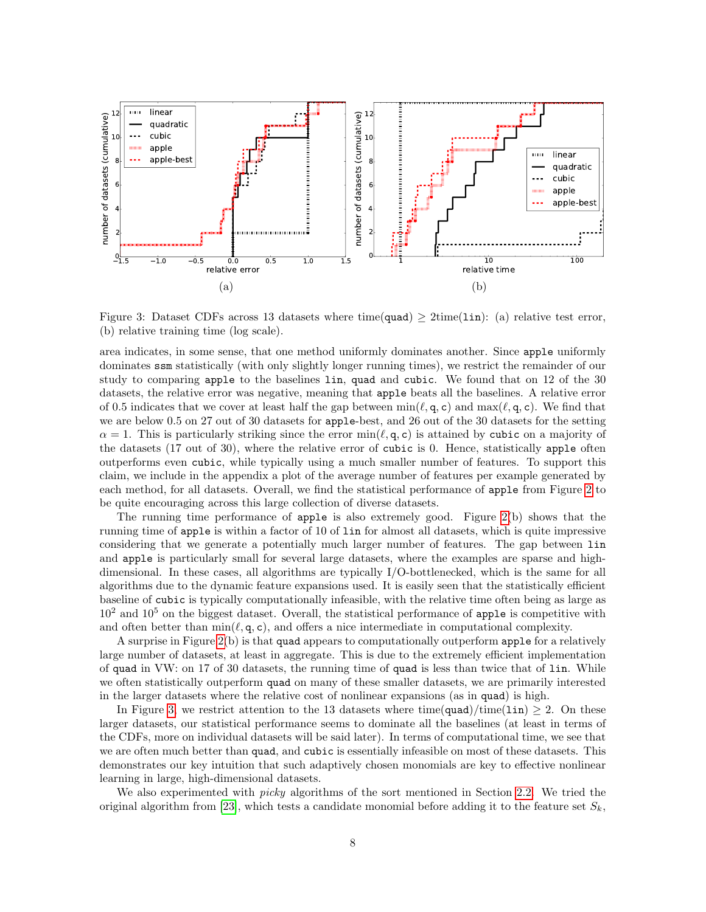

<span id="page-7-0"></span>Figure 3: Dataset CDFs across 13 datasets where time(quad)  $\geq$  2time(1in): (a) relative test error, (b) relative training time (log scale).

area indicates, in some sense, that one method uniformly dominates another. Since apple uniformly dominates ssm statistically (with only slightly longer running times), we restrict the remainder of our study to comparing apple to the baselines lin, quad and cubic. We found that on 12 of the 30 datasets, the relative error was negative, meaning that apple beats all the baselines. A relative error of 0.5 indicates that we cover at least half the gap between  $\min(\ell, \mathsf{q}, \mathsf{c})$  and  $\max(\ell, \mathsf{q}, \mathsf{c})$ . We find that we are below 0.5 on 27 out of 30 datasets for apple-best, and 26 out of the 30 datasets for the setting  $\alpha = 1$ . This is particularly striking since the error min( $\ell, \mathsf{q}, \mathsf{c}$ ) is attained by cubic on a majority of the datasets (17 out of 30), where the relative error of cubic is 0. Hence, statistically apple often outperforms even cubic, while typically using a much smaller number of features. To support this claim, we include in the appendix a plot of the average number of features per example generated by each method, for all datasets. Overall, we find the statistical performance of apple from Figure [2](#page-6-0) to be quite encouraging across this large collection of diverse datasets.

The running time performance of apple is also extremely good. Figure [2\(](#page-6-0)b) shows that the running time of apple is within a factor of 10 of lin for almost all datasets, which is quite impressive considering that we generate a potentially much larger number of features. The gap between lin and apple is particularly small for several large datasets, where the examples are sparse and highdimensional. In these cases, all algorithms are typically I/O-bottlenecked, which is the same for all algorithms due to the dynamic feature expansions used. It is easily seen that the statistically efficient baseline of cubic is typically computationally infeasible, with the relative time often being as large as  $10^2$  and  $10^5$  on the biggest dataset. Overall, the statistical performance of apple is competitive with and often better than  $\min(\ell, \mathbf{q}, \mathbf{c})$ , and offers a nice intermediate in computational complexity.

A surprise in Figure [2\(](#page-6-0)b) is that quad appears to computationally outperform apple for a relatively large number of datasets, at least in aggregate. This is due to the extremely efficient implementation of quad in VW: on 17 of 30 datasets, the running time of quad is less than twice that of lin. While we often statistically outperform quad on many of these smaller datasets, we are primarily interested in the larger datasets where the relative cost of nonlinear expansions (as in quad) is high.

In Figure [3,](#page-7-0) we restrict attention to the 13 datasets where time(quad)/time(1in)  $\geq$  2. On these larger datasets, our statistical performance seems to dominate all the baselines (at least in terms of the CDFs, more on individual datasets will be said later). In terms of computational time, we see that we are often much better than quad, and cubic is essentially infeasible on most of these datasets. This demonstrates our key intuition that such adaptively chosen monomials are key to effective nonlinear learning in large, high-dimensional datasets.

We also experimented with *picky* algorithms of the sort mentioned in Section [2.2.](#page-3-2) We tried the original algorithm from [\[23\]](#page-10-7), which tests a candidate monomial before adding it to the feature set  $S_k$ ,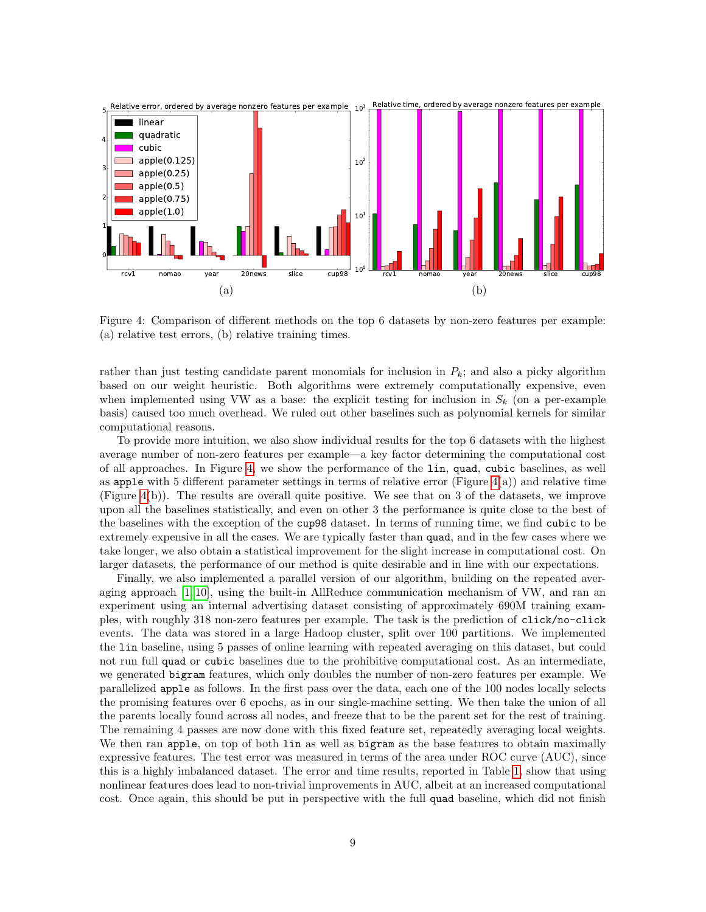

<span id="page-8-0"></span>Figure 4: Comparison of different methods on the top 6 datasets by non-zero features per example: (a) relative test errors, (b) relative training times.

rather than just testing candidate parent monomials for inclusion in  $P_k$ ; and also a picky algorithm based on our weight heuristic. Both algorithms were extremely computationally expensive, even when implemented using VW as a base: the explicit testing for inclusion in  $S_k$  (on a per-example basis) caused too much overhead. We ruled out other baselines such as polynomial kernels for similar computational reasons.

To provide more intuition, we also show individual results for the top 6 datasets with the highest average number of non-zero features per example—a key factor determining the computational cost of all approaches. In Figure [4,](#page-8-0) we show the performance of the lin, quad, cubic baselines, as well as apple with 5 different parameter settings in terms of relative error (Figure  $4(a)$ ) and relative time (Figure  $4(b)$ ). The results are overall quite positive. We see that on 3 of the datasets, we improve upon all the baselines statistically, and even on other 3 the performance is quite close to the best of the baselines with the exception of the cup98 dataset. In terms of running time, we find cubic to be extremely expensive in all the cases. We are typically faster than quad, and in the few cases where we take longer, we also obtain a statistical improvement for the slight increase in computational cost. On larger datasets, the performance of our method is quite desirable and in line with our expectations.

Finally, we also implemented a parallel version of our algorithm, building on the repeated averaging approach [\[1,](#page-9-0) [10\]](#page-9-12), using the built-in AllReduce communication mechanism of VW, and ran an experiment using an internal advertising dataset consisting of approximately 690M training examples, with roughly 318 non-zero features per example. The task is the prediction of click/no-click events. The data was stored in a large Hadoop cluster, split over 100 partitions. We implemented the lin baseline, using 5 passes of online learning with repeated averaging on this dataset, but could not run full quad or cubic baselines due to the prohibitive computational cost. As an intermediate, we generated bigram features, which only doubles the number of non-zero features per example. We parallelized apple as follows. In the first pass over the data, each one of the 100 nodes locally selects the promising features over 6 epochs, as in our single-machine setting. We then take the union of all the parents locally found across all nodes, and freeze that to be the parent set for the rest of training. The remaining 4 passes are now done with this fixed feature set, repeatedly averaging local weights. We then ran apple, on top of both lin as well as bigram as the base features to obtain maximally expressive features. The test error was measured in terms of the area under ROC curve (AUC), since this is a highly imbalanced dataset. The error and time results, reported in Table [1,](#page-9-13) show that using nonlinear features does lead to non-trivial improvements in AUC, albeit at an increased computational cost. Once again, this should be put in perspective with the full quad baseline, which did not finish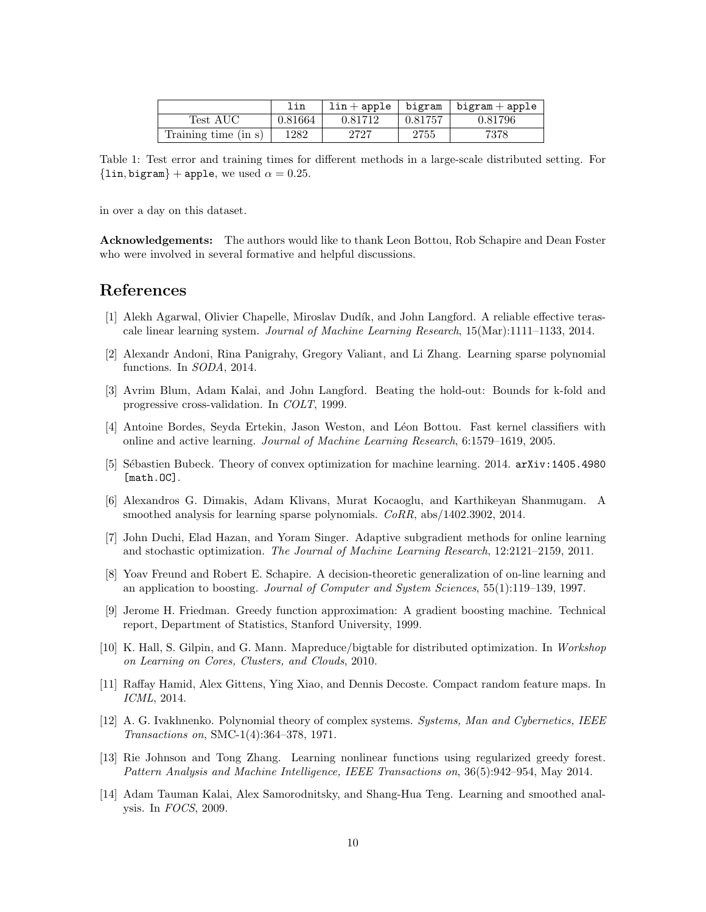<span id="page-9-13"></span>

|                        | lin     | $\ln + \text{apple}$ | bigram  | $bigram + apple$ |
|------------------------|---------|----------------------|---------|------------------|
| $Test \; \mathrm{AUC}$ | 0.81664 | 0.81712              | 0.81757 | 0.81796          |
| Training time (in s)   | 1282    | 2727                 | 2755    | 7378             |

Table 1: Test error and training times for different methods in a large-scale distributed setting. For  $\{\text{lin}, \text{bigram}\}$  + apple, we used  $\alpha = 0.25$ .

in over a day on this dataset.

Acknowledgements: The authors would like to thank Leon Bottou, Rob Schapire and Dean Foster who were involved in several formative and helpful discussions.

### References

- <span id="page-9-0"></span>[1] Alekh Agarwal, Olivier Chapelle, Miroslav Dudík, and John Langford. A reliable effective terascale linear learning system. Journal of Machine Learning Research, 15(Mar):1111–1133, 2014.
- <span id="page-9-6"></span>[2] Alexandr Andoni, Rina Panigrahy, Gregory Valiant, and Li Zhang. Learning sparse polynomial functions. In SODA, 2014.
- <span id="page-9-11"></span>[3] Avrim Blum, Adam Kalai, and John Langford. Beating the hold-out: Bounds for k-fold and progressive cross-validation. In COLT, 1999.
- <span id="page-9-4"></span>[4] Antoine Bordes, Seyda Ertekin, Jason Weston, and Léon Bottou. Fast kernel classifiers with online and active learning. Journal of Machine Learning Research, 6:1579–1619, 2005.
- <span id="page-9-14"></span>[5] S´ebastien Bubeck. Theory of convex optimization for machine learning. 2014. arXiv:1405.4980 [math.OC].
- <span id="page-9-7"></span>[6] Alexandros G. Dimakis, Adam Klivans, Murat Kocaoglu, and Karthikeyan Shanmugam. A smoothed analysis for learning sparse polynomials. CoRR, abs/1402.3902, 2014.
- <span id="page-9-10"></span>[7] John Duchi, Elad Hazan, and Yoram Singer. Adaptive subgradient methods for online learning and stochastic optimization. The Journal of Machine Learning Research, 12:2121–2159, 2011.
- <span id="page-9-1"></span>[8] Yoav Freund and Robert E. Schapire. A decision-theoretic generalization of on-line learning and an application to boosting. Journal of Computer and System Sciences, 55(1):119–139, 1997.
- <span id="page-9-2"></span>[9] Jerome H. Friedman. Greedy function approximation: A gradient boosting machine. Technical report, Department of Statistics, Stanford University, 1999.
- <span id="page-9-12"></span>[10] K. Hall, S. Gilpin, and G. Mann. Mapreduce/bigtable for distributed optimization. In Workshop on Learning on Cores, Clusters, and Clouds, 2010.
- <span id="page-9-5"></span>[11] Raffay Hamid, Alex Gittens, Ying Xiao, and Dennis Decoste. Compact random feature maps. In ICML, 2014.
- <span id="page-9-8"></span>[12] A. G. Ivakhnenko. Polynomial theory of complex systems. Systems, Man and Cybernetics, IEEE Transactions on, SMC-1(4):364–378, 1971.
- <span id="page-9-3"></span>[13] Rie Johnson and Tong Zhang. Learning nonlinear functions using regularized greedy forest. Pattern Analysis and Machine Intelligence, IEEE Transactions on, 36(5):942–954, May 2014.
- <span id="page-9-9"></span>[14] Adam Tauman Kalai, Alex Samorodnitsky, and Shang-Hua Teng. Learning and smoothed analysis. In FOCS, 2009.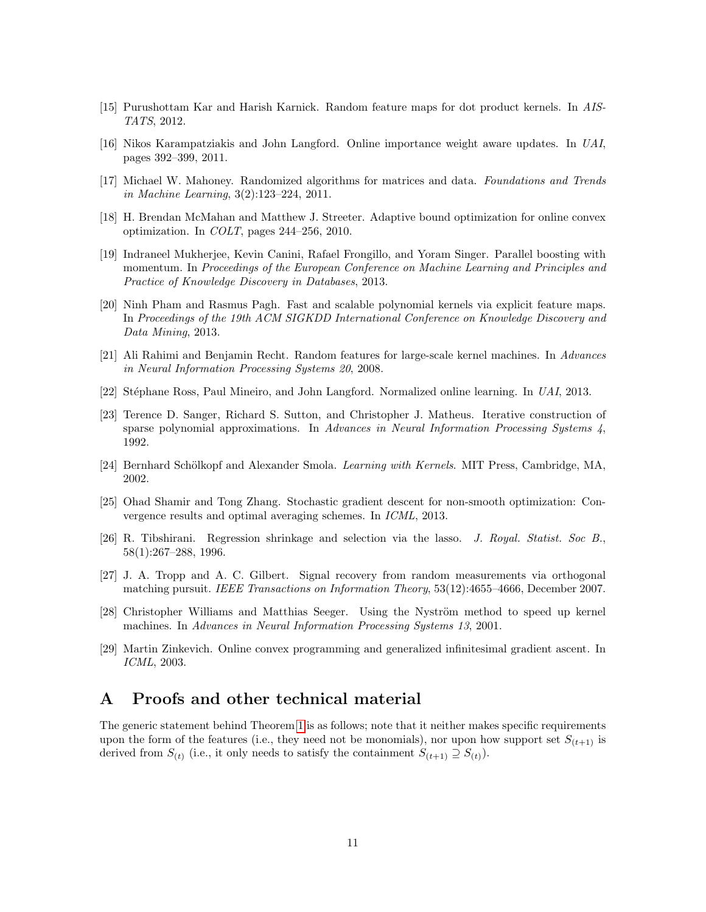- <span id="page-10-4"></span>[15] Purushottam Kar and Harish Karnick. Random feature maps for dot product kernels. In AIS-TATS, 2012.
- <span id="page-10-12"></span>[16] Nikos Karampatziakis and John Langford. Online importance weight aware updates. In UAI, pages 392–399, 2011.
- <span id="page-10-2"></span>[17] Michael W. Mahoney. Randomized algorithms for matrices and data. Foundations and Trends in Machine Learning, 3(2):123–224, 2011.
- <span id="page-10-13"></span>[18] H. Brendan McMahan and Matthew J. Streeter. Adaptive bound optimization for online convex optimization. In COLT, pages 244–256, 2010.
- <span id="page-10-0"></span>[19] Indraneel Mukherjee, Kevin Canini, Rafael Frongillo, and Yoram Singer. Parallel boosting with momentum. In Proceedings of the European Conference on Machine Learning and Principles and Practice of Knowledge Discovery in Databases, 2013.
- <span id="page-10-5"></span>[20] Ninh Pham and Rasmus Pagh. Fast and scalable polynomial kernels via explicit feature maps. In Proceedings of the 19th ACM SIGKDD International Conference on Knowledge Discovery and Data Mining, 2013.
- <span id="page-10-6"></span>[21] Ali Rahimi and Benjamin Recht. Random features for large-scale kernel machines. In Advances in Neural Information Processing Systems 20, 2008.
- <span id="page-10-14"></span>[22] Stéphane Ross, Paul Mineiro, and John Langford. Normalized online learning. In UAI, 2013.
- <span id="page-10-7"></span>[23] Terence D. Sanger, Richard S. Sutton, and Christopher J. Matheus. Iterative construction of sparse polynomial approximations. In Advances in Neural Information Processing Systems  $\lambda$ , 1992.
- <span id="page-10-3"></span>[24] Bernhard Schölkopf and Alexander Smola. *Learning with Kernels*. MIT Press, Cambridge, MA, 2002.
- <span id="page-10-15"></span>[25] Ohad Shamir and Tong Zhang. Stochastic gradient descent for non-smooth optimization: Convergence results and optimal averaging schemes. In ICML, 2013.
- <span id="page-10-10"></span>[26] R. Tibshirani. Regression shrinkage and selection via the lasso. J. Royal. Statist. Soc B., 58(1):267–288, 1996.
- <span id="page-10-11"></span>[27] J. A. Tropp and A. C. Gilbert. Signal recovery from random measurements via orthogonal matching pursuit. IEEE Transactions on Information Theory, 53(12):4655–4666, December 2007.
- <span id="page-10-1"></span>[28] Christopher Williams and Matthias Seeger. Using the Nyström method to speed up kernel machines. In Advances in Neural Information Processing Systems 13, 2001.
- <span id="page-10-8"></span>[29] Martin Zinkevich. Online convex programming and generalized infinitesimal gradient ascent. In ICML, 2003.

### <span id="page-10-9"></span>A Proofs and other technical material

<span id="page-10-16"></span>The generic statement behind Theorem [1](#page-3-1) is as follows; note that it neither makes specific requirements upon the form of the features (i.e., they need not be monomials), nor upon how support set  $S_{(t+1)}$  is derived from  $S_{(t)}$  (i.e., it only needs to satisfy the containment  $S_{(t+1)} \supseteq S_{(t)}$ ).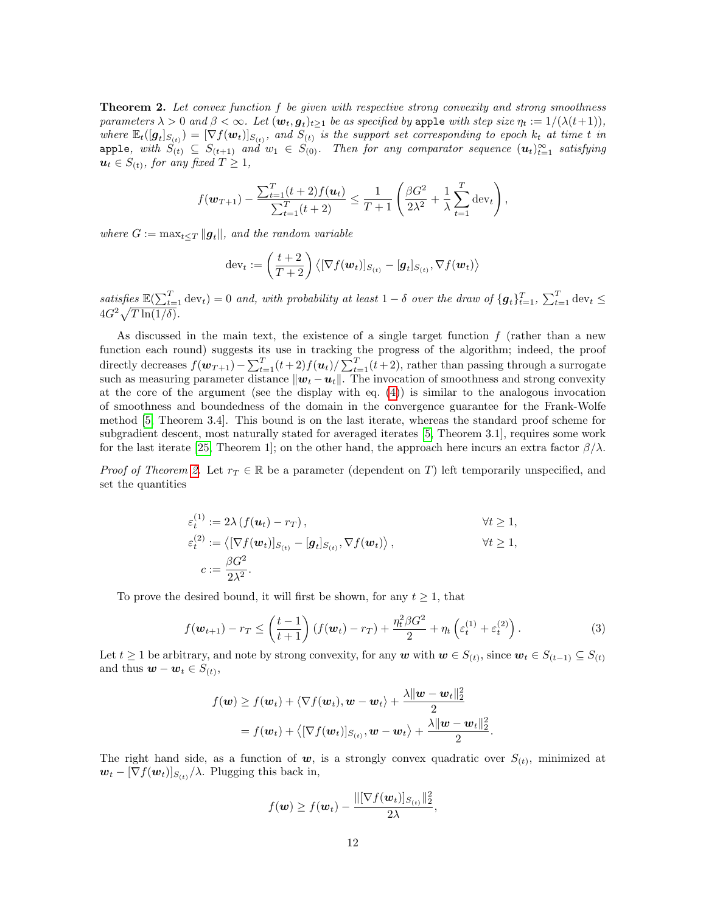**Theorem 2.** Let convex function f be given with respective strong convexity and strong smoothness parameters  $\lambda > 0$  and  $\beta < \infty$ . Let  $(\bm{w}_t, \bm{g}_t)_{t \geq 1}$  be as specified by apple with step size  $\eta_t := 1/(\lambda(t+1)),$ where  $\mathbb{E}_t([\bm{g}_t]_{S(t)}) = [\nabla f(\bm{w}_t)]_{S(t)}$ , and  $\overline{S_{(t)}}$  is the support set corresponding to epoch  $k_t$  at time t in apple, with  $S_{(t)} \subseteq S_{(t+1)}$  and  $w_1 \in S_{(0)}$ . Then for any comparator sequence  $(u_t)_{t=1}^{\infty}$  satisfying  $u_t \in S_{(t)}$ , for any fixed  $T \geq 1$ ,

$$
f(\mathbf{w}_{T+1}) - \frac{\sum_{t=1}^{T} (t+2) f(\mathbf{u}_t)}{\sum_{t=1}^{T} (t+2)} \leq \frac{1}{T+1} \left( \frac{\beta G^2}{2\lambda^2} + \frac{1}{\lambda} \sum_{t=1}^{T} \mathrm{dev}_t \right),
$$

where  $G := \max_{t \leq T} ||g_t||$ , and the random variable

$$
\text{dev}_t := \left(\frac{t+2}{T+2}\right) \left\langle [\nabla f(\boldsymbol{w}_t)]_{S_{(t)}} - [\boldsymbol{g}_t]_{S_{(t)}}, \nabla f(\boldsymbol{w}_t) \right\rangle
$$

satisfies  $\mathbb{E}(\sum_{t=1}^T \text{dev}_t) = 0$  and, with probability at least  $1 - \delta$  over the draw of  $\{g_t\}_{t=1}^T$ ,  $\sum_{t=1}^T \text{dev}_t \leq$  $4G^2\sqrt{T\ln(1/\delta)}$ .

As discussed in the main text, the existence of a single target function  $f$  (rather than a new function each round) suggests its use in tracking the progress of the algorithm; indeed, the proof directly decreases  $f(\boldsymbol{w}_{T+1}) - \sum_{t=1}^{T} (t+2) f(\boldsymbol{u}_t) / \sum_{t=1}^{T} (t+2)$ , rather than passing through a surrogate such as measuring parameter distance  $\|\boldsymbol{w}_t - \boldsymbol{u}_t\|$ . The invocation of smoothness and strong convexity at the core of the argument (see the display with eq. [\(4\)](#page-12-0)) is similar to the analogous invocation of smoothness and boundedness of the domain in the convergence guarantee for the Frank-Wolfe method [\[5,](#page-9-14) Theorem 3.4]. This bound is on the last iterate, whereas the standard proof scheme for subgradient descent, most naturally stated for averaged iterates [\[5,](#page-9-14) Theorem 3.1], requires some work for the last iterate [\[25,](#page-10-15) Theorem 1]; on the other hand, the approach here incurs an extra factor  $\beta/\lambda$ .

*Proof of Theorem [2.](#page-10-16)* Let  $r_T \in \mathbb{R}$  be a parameter (dependent on T) left temporarily unspecified, and set the quantities

$$
\varepsilon_t^{(1)} := 2\lambda \left( f(\boldsymbol{u}_t) - r_T \right), \qquad \forall t \ge 1, \n\varepsilon_t^{(2)} := \left\langle \left[ \nabla f(\boldsymbol{w}_t) \right]_{S_{(t)}} - \left[ \boldsymbol{g}_t \right]_{S_{(t)}}, \nabla f(\boldsymbol{w}_t) \right\rangle, \qquad \forall t \ge 1, \n c := \frac{\beta G^2}{2\lambda^2}.
$$

<span id="page-11-0"></span>To prove the desired bound, it will first be shown, for any  $t \geq 1$ , that

$$
f(\boldsymbol{w}_{t+1}) - r_T \leq \left(\frac{t-1}{t+1}\right) \left(f(\boldsymbol{w}_t) - r_T\right) + \frac{\eta_t^2 \beta G^2}{2} + \eta_t \left(\varepsilon_t^{(1)} + \varepsilon_t^{(2)}\right). \tag{3}
$$

Let  $t \geq 1$  be arbitrary, and note by strong convexity, for any w with  $w \in S_{(t)}$ , since  $w_t \in S_{(t-1)} \subseteq S_{(t)}$ and thus  $\mathbf{w} - \mathbf{w}_t \in S_{(t)},$ 

$$
f(\boldsymbol{w}) \geq f(\boldsymbol{w}_t) + \langle \nabla f(\boldsymbol{w}_t), \boldsymbol{w} - \boldsymbol{w}_t \rangle + \frac{\lambda \|\boldsymbol{w} - \boldsymbol{w}_t\|_2^2}{2}
$$
  
=  $f(\boldsymbol{w}_t) + \langle [\nabla f(\boldsymbol{w}_t)]_{S_{(t)}}, \boldsymbol{w} - \boldsymbol{w}_t \rangle + \frac{\lambda \|\boldsymbol{w} - \boldsymbol{w}_t\|_2^2}{2}.$ 

The right hand side, as a function of  $w$ , is a strongly convex quadratic over  $S_{(t)}$ , minimized at  $\mathbf{w}_t - [\nabla f(\mathbf{w}_t)]_{S_{(t)}}/\lambda$ . Plugging this back in,

$$
f(\boldsymbol{w}) \geq f(\boldsymbol{w}_t) - \frac{\|[\nabla f(\boldsymbol{w}_t)]_{S_{(t)}}\|_2^2}{2\lambda},
$$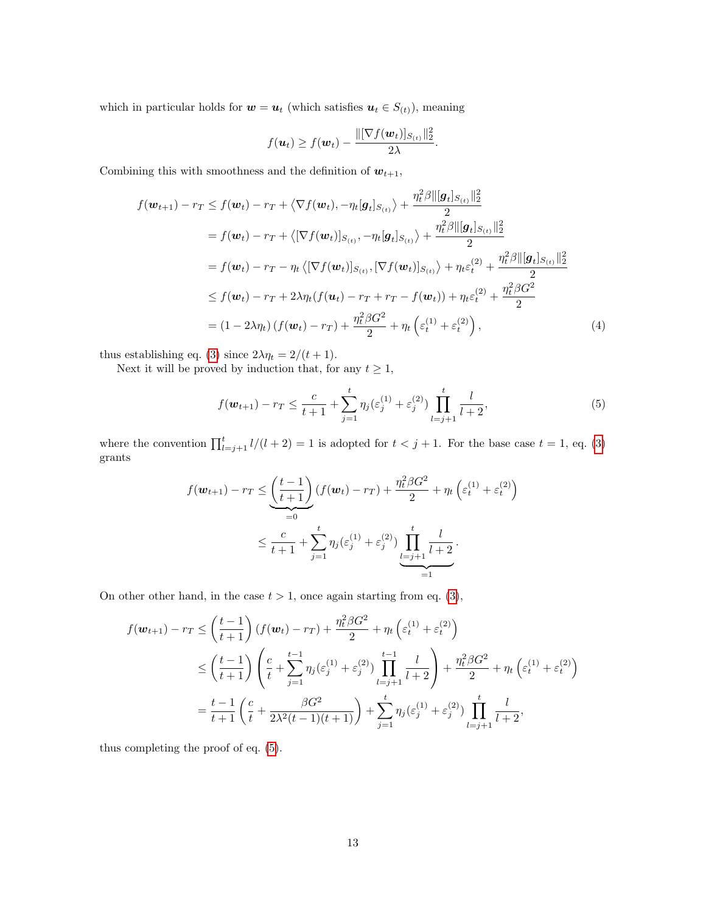which in particular holds for  $\boldsymbol{w}=\boldsymbol{u}_t$  (which satisfies  $\boldsymbol{u}_t\in S_{(t)}),$  meaning

<span id="page-12-0"></span>
$$
f(\boldsymbol{u}_t) \geq f(\boldsymbol{w}_t) - \frac{\|[\nabla f(\boldsymbol{w}_t)]_{S_{(t)}}\|_2^2}{2\lambda}.
$$

Combining this with smoothness and the definition of  $w_{t+1}$ ,

$$
f(\boldsymbol{w}_{t+1}) - r_{T} \leq f(\boldsymbol{w}_{t}) - r_{T} + \langle \nabla f(\boldsymbol{w}_{t}), -\eta_{t}[\boldsymbol{g}_{t}]_{S_{(t)}} \rangle + \frac{\eta_{t}^{2}\beta \|\boldsymbol{g}_{t}\|_{S_{(t)}}\|_{2}^{2}}{2}
$$
  
\n
$$
= f(\boldsymbol{w}_{t}) - r_{T} + \langle [\nabla f(\boldsymbol{w}_{t})]_{S_{(t)}}, -\eta_{t}[\boldsymbol{g}_{t}]_{S_{(t)}} \rangle + \frac{\eta_{t}^{2}\beta \|\boldsymbol{g}_{t}\|_{S_{(t)}}\|_{2}^{2}}{2}
$$
  
\n
$$
= f(\boldsymbol{w}_{t}) - r_{T} - \eta_{t} \langle [\nabla f(\boldsymbol{w}_{t})]_{S_{(t)}}, [\nabla f(\boldsymbol{w}_{t})]_{S_{(t)}} \rangle + \eta_{t}\varepsilon_{t}^{(2)} + \frac{\eta_{t}^{2}\beta \|\boldsymbol{g}_{t}\|_{S_{(t)}}\|_{2}^{2}}{2}
$$
  
\n
$$
\leq f(\boldsymbol{w}_{t}) - r_{T} + 2\lambda\eta_{t}(f(\boldsymbol{u}_{t}) - r_{T} + r_{T} - f(\boldsymbol{w}_{t})) + \eta_{t}\varepsilon_{t}^{(2)} + \frac{\eta_{t}^{2}\beta G^{2}}{2}
$$
  
\n
$$
= (1 - 2\lambda\eta_{t}) (f(\boldsymbol{w}_{t}) - r_{T}) + \frac{\eta_{t}^{2}\beta G^{2}}{2} + \eta_{t} (\varepsilon_{t}^{(1)} + \varepsilon_{t}^{(2)}), \qquad (4)
$$

thus establishing eq. [\(3\)](#page-11-0) since  $2\lambda \eta_t = 2/(t+1)$ .

Next it will be proved by induction that, for any  $t \geq 1$ ,

<span id="page-12-1"></span>
$$
f(\boldsymbol{w}_{t+1}) - r_T \le \frac{c}{t+1} + \sum_{j=1}^t \eta_j(\varepsilon_j^{(1)} + \varepsilon_j^{(2)}) \prod_{l=j+1}^t \frac{l}{l+2},\tag{5}
$$

where the convention  $\prod_{l=j+1}^{t} l/(l+2) = 1$  is adopted for  $t < j+1$ . For the base case  $t = 1$ , eq. [\(3\)](#page-11-0) grants

$$
f(\mathbf{w}_{t+1}) - r_T \leq \underbrace{\left(\frac{t-1}{t+1}\right)}_{=0} (f(\mathbf{w}_t) - r_T) + \frac{\eta_t^2 \beta G^2}{2} + \eta_t \left(\varepsilon_t^{(1)} + \varepsilon_t^{(2)}\right)
$$
  

$$
\leq \frac{c}{t+1} + \sum_{j=1}^t \eta_j(\varepsilon_j^{(1)} + \varepsilon_j^{(2)}) \underbrace{\prod_{l=j+1}^t \frac{l}{l+2}}_{=1}.
$$

On other other hand, in the case  $t > 1$ , once again starting from eq. [\(3\)](#page-11-0),

$$
f(\mathbf{w}_{t+1}) - r_T \leq \left(\frac{t-1}{t+1}\right) \left(f(\mathbf{w}_t) - r_T\right) + \frac{\eta_t^2 \beta G^2}{2} + \eta_t \left(\varepsilon_t^{(1)} + \varepsilon_t^{(2)}\right)
$$
  

$$
\leq \left(\frac{t-1}{t+1}\right) \left(\frac{c}{t} + \sum_{j=1}^{t-1} \eta_j(\varepsilon_j^{(1)} + \varepsilon_j^{(2)}) \prod_{l=j+1}^{t-1} \frac{l}{l+2} \right) + \frac{\eta_t^2 \beta G^2}{2} + \eta_t \left(\varepsilon_t^{(1)} + \varepsilon_t^{(2)}\right)
$$
  

$$
= \frac{t-1}{t+1} \left(\frac{c}{t} + \frac{\beta G^2}{2\lambda^2 (t-1)(t+1)}\right) + \sum_{j=1}^t \eta_j(\varepsilon_j^{(1)} + \varepsilon_j^{(2)}) \prod_{l=j+1}^t \frac{l}{l+2},
$$

thus completing the proof of eq. [\(5\)](#page-12-1).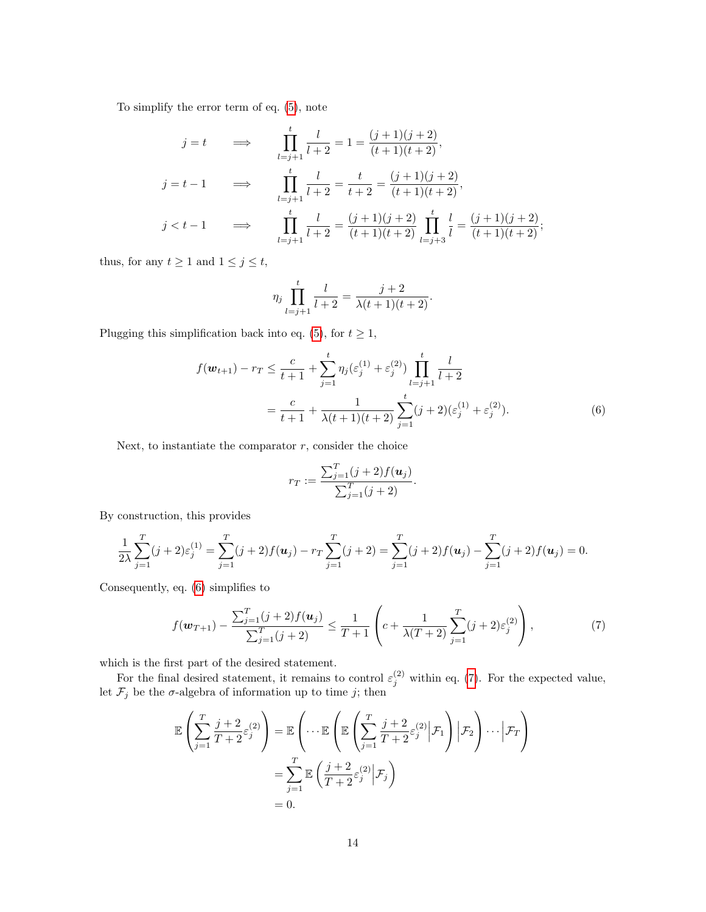To simplify the error term of eq. [\(5\)](#page-12-1), note

$$
j = t \qquad \Longrightarrow \qquad \prod_{l=j+1}^{t} \frac{l}{l+2} = 1 = \frac{(j+1)(j+2)}{(t+1)(t+2)},
$$
\n
$$
j = t - 1 \qquad \Longrightarrow \qquad \prod_{l=j+1}^{t} \frac{l}{l+2} = \frac{t}{t+2} = \frac{(j+1)(j+2)}{(t+1)(t+2)},
$$
\n
$$
j < t - 1 \qquad \Longrightarrow \qquad \prod_{l=j+1}^{t} \frac{l}{l+2} = \frac{(j+1)(j+2)}{(t+1)(t+2)} \prod_{l=j+3}^{t} \frac{l}{l} = \frac{(j+1)(j+2)}{(t+1)(t+2)};
$$

thus, for any  $t \ge 1$  and  $1 \le j \le t$ ,

$$
\eta_j \prod_{l=j+1}^t \frac{l}{l+2} = \frac{j+2}{\lambda(t+1)(t+2)}.
$$

Plugging this simplification back into eq. [\(5\)](#page-12-1), for  $t \geq 1$ ,

$$
f(\mathbf{w}_{t+1}) - r_T \le \frac{c}{t+1} + \sum_{j=1}^t \eta_j (\varepsilon_j^{(1)} + \varepsilon_j^{(2)}) \prod_{l=j+1}^t \frac{l}{l+2}
$$
  
= 
$$
\frac{c}{t+1} + \frac{1}{\lambda(t+1)(t+2)} \sum_{j=1}^t (j+2) (\varepsilon_j^{(1)} + \varepsilon_j^{(2)}).
$$
 (6)

Next, to instantiate the comparator  $r$ , consider the choice

<span id="page-13-0"></span>
$$
r_T := \frac{\sum_{j=1}^T (j+2) f(\mathbf{u}_j)}{\sum_{j=1}^T (j+2)}.
$$

By construction, this provides

$$
\frac{1}{2\lambda} \sum_{j=1}^{T} (j+2) \varepsilon_j^{(1)} = \sum_{j=1}^{T} (j+2) f(u_j) - r \sum_{j=1}^{T} (j+2) = \sum_{j=1}^{T} (j+2) f(u_j) - \sum_{j=1}^{T} (j+2) f(u_j) = 0.
$$

Consequently, eq. [\(6\)](#page-13-0) simplifies to

<span id="page-13-1"></span>
$$
f(\boldsymbol{w}_{T+1}) - \frac{\sum_{j=1}^{T} (j+2) f(\boldsymbol{u}_j)}{\sum_{j=1}^{T} (j+2)} \leq \frac{1}{T+1} \left( c + \frac{1}{\lambda (T+2)} \sum_{j=1}^{T} (j+2) \varepsilon_j^{(2)} \right), \tag{7}
$$

which is the first part of the desired statement.

For the final desired statement, it remains to control  $\varepsilon_j^{(2)}$  within eq. [\(7\)](#page-13-1). For the expected value, let  $\mathcal{F}_j$  be the  $\sigma$ -algebra of information up to time j; then

$$
\mathbb{E}\left(\sum_{j=1}^{T} \frac{j+2}{T+2} \varepsilon_j^{(2)}\right) = \mathbb{E}\left(\cdots \mathbb{E}\left(\mathbb{E}\left(\sum_{j=1}^{T} \frac{j+2}{T+2} \varepsilon_j^{(2)} \Big| \mathcal{F}_1\right) \Big| \mathcal{F}_2\right) \cdots \Big| \mathcal{F}_T\right)
$$

$$
= \sum_{j=1}^{T} \mathbb{E}\left(\frac{j+2}{T+2} \varepsilon_j^{(2)} \Big| \mathcal{F}_j\right)
$$

$$
= 0.
$$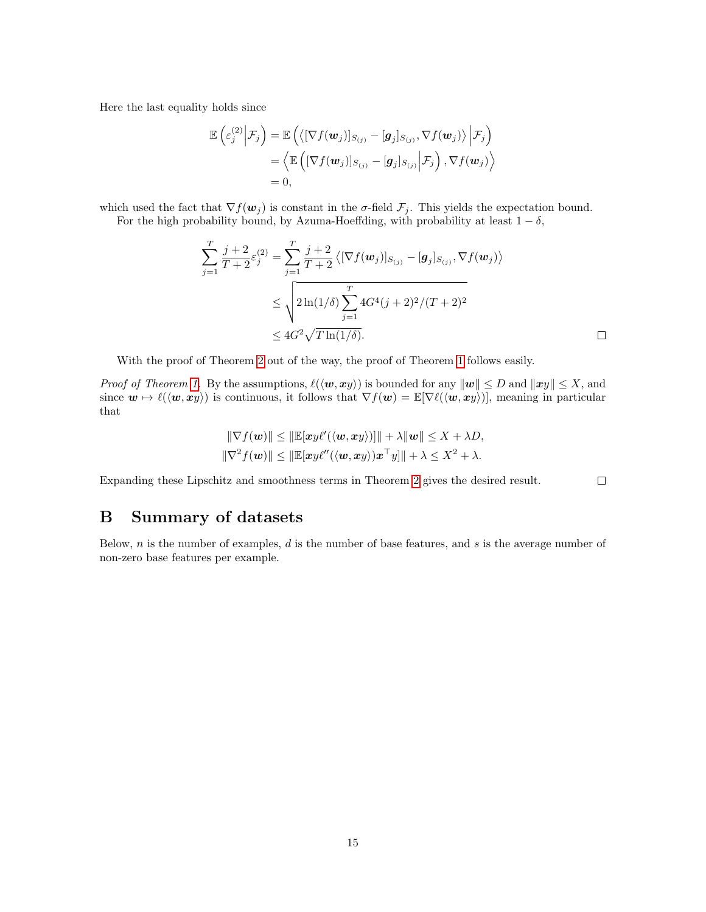Here the last equality holds since

$$
\mathbb{E}\left(\varepsilon_{j}^{(2)}\Big|\mathcal{F}_{j}\right) = \mathbb{E}\left(\left\langle\left[\nabla f(\boldsymbol{w}_{j})\right]_{S_{(j)}} - \left[\boldsymbol{g}_{j}\right]_{S_{(j)}}, \nabla f(\boldsymbol{w}_{j})\right\rangle \Big|\mathcal{F}_{j}\right) \n= \left\langle \mathbb{E}\left(\left[\nabla f(\boldsymbol{w}_{j})\right]_{S_{(j)}} - \left[\boldsymbol{g}_{j}\right]_{S_{(j)}}\Big|\mathcal{F}_{j}\right), \nabla f(\boldsymbol{w}_{j})\right\rangle \n= 0,
$$

which used the fact that  $\nabla f(\mathbf{w}_j)$  is constant in the  $\sigma$ -field  $\mathcal{F}_j$ . This yields the expectation bound. For the high probability bound, by Azuma-Hoeffding, with probability at least  $1 - \delta$ ,

$$
\sum_{j=1}^{T} \frac{j+2}{T+2} \varepsilon_j^{(2)} = \sum_{j=1}^{T} \frac{j+2}{T+2} \langle [\nabla f(\mathbf{w}_j)]_{S_{(j)}} - [\mathbf{g}_j]_{S_{(j)}}, \nabla f(\mathbf{w}_j) \rangle
$$
  
\n
$$
\leq \sqrt{2 \ln(1/\delta) \sum_{j=1}^{T} 4G^4(j+2)^2/(T+2)^2}
$$
  
\n
$$
\leq 4G^2 \sqrt{T \ln(1/\delta)}.
$$

With the proof of Theorem [2](#page-10-16) out of the way, the proof of Theorem [1](#page-3-1) follows easily.

*Proof of Theorem [1.](#page-3-1)* By the assumptions,  $\ell(\langle \boldsymbol{w}, \boldsymbol{x} \boldsymbol{y} \rangle)$  is bounded for any  $\|\boldsymbol{w}\| \leq D$  and  $\|\boldsymbol{x} \boldsymbol{y}\| \leq X$ , and since  $w \mapsto \ell(\langle w, xy \rangle)$  is continuous, it follows that  $\nabla f(w) = \mathbb{E}[\nabla \ell(\langle w, xy \rangle)],$  meaning in particular that

$$
\|\nabla f(\mathbf{w})\| \le \|\mathbb{E}[\mathbf{xy}\ell'(\langle \mathbf{w}, \mathbf{x}\mathbf{y}\rangle)]\| + \lambda \|\mathbf{w}\| \le X + \lambda D,
$$
  

$$
\|\nabla^2 f(\mathbf{w})\| \le \|\mathbb{E}[\mathbf{xy}\ell''(\langle \mathbf{w}, \mathbf{x}\mathbf{y}\rangle)\mathbf{x}^\top \mathbf{y}]\| + \lambda \le X^2 + \lambda.
$$

Expanding these Lipschitz and smoothness terms in Theorem [2](#page-10-16) gives the desired result.

# B Summary of datasets

Below,  $n$  is the number of examples,  $d$  is the number of base features, and  $s$  is the average number of non-zero base features per example.

 $\Box$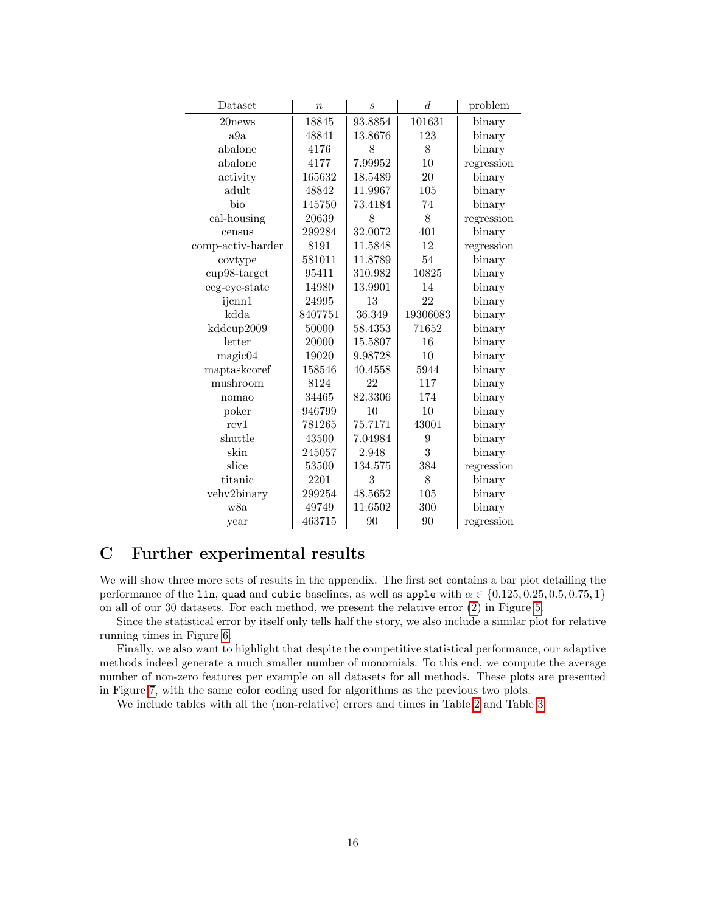| Dataset           | $\overline{n}$ | $\mathcal{S}_{\mathcal{S}}$ | d        | problem    |
|-------------------|----------------|-----------------------------|----------|------------|
| 20news            | <b>18845</b>   | 93.8854                     | 101631   | binary     |
| a9a               | 48841          | 13.8676                     | 123      | binary     |
| abalone           | 4176           | 8                           | 8        | binary     |
| abalone           | 4177           | 7.99952                     | 10       | regression |
| activity          | 165632         | 18.5489                     | 20       | binary     |
| adult             | 48842          | 11.9967                     | 105      | binary     |
| bio               | 145750         | 73.4184                     | 74       | binary     |
| cal-housing       | 20639          | 8                           | 8        | regression |
| census            | 299284         | 32.0072                     | 401      | binary     |
| comp-activ-harder | 8191           | 11.5848                     | 12       | regression |
| covtype           | 581011         | 11.8789                     | 54       | binary     |
| cup98-target      | 95411          | 310.982                     | 10825    | binary     |
| eeg-eye-state     | 14980          | 13.9901                     | 14       | binary     |
| ijcnn1            | 24995          | 13                          | 22       | binary     |
| kdda              | 8407751        | 36.349                      | 19306083 | binary     |
| kddcup2009        | 50000          | 58.4353                     | 71652    | binary     |
| letter            | 20000          | 15.5807                     | 16       | binary     |
| magic04           | 19020          | 9.98728                     | 10       | binary     |
| maptaskcoref      | 158546         | 40.4558                     | 5944     | binary     |
| mushroom          | 8124           | 22                          | 117      | binary     |
| nomao             | 34465          | 82.3306                     | 174      | binary     |
| poker             | 946799         | 10                          | 10       | binary     |
| rcv1              | 781265         | 75.7171                     | 43001    | binary     |
| shuttle           | 43500          | 7.04984                     | 9        | binary     |
| skin              | 245057         | 2.948                       | 3        | binary     |
| slice             | 53500          | 134.575                     | 384      | regression |
| titanic           | 2201           | 3                           | 8        | binary     |
| vehv2binary       | 299254         | 48.5652                     | 105      | binary     |
| w8a               | 49749          | 11.6502                     | 300      | binary     |
| vear              | 463715         | 90                          | 90       | regression |

# C Further experimental results

We will show three more sets of results in the appendix. The first set contains a bar plot detailing the performance of the lin, quad and cubic baselines, as well as apple with  $\alpha \in \{0.125, 0.25, 0.5, 0.75, 1\}$ on all of our 30 datasets. For each method, we present the relative error [\(2\)](#page-6-1) in Figure [5.](#page-16-0)

Since the statistical error by itself only tells half the story, we also include a similar plot for relative running times in Figure [6.](#page-17-0)

Finally, we also want to highlight that despite the competitive statistical performance, our adaptive methods indeed generate a much smaller number of monomials. To this end, we compute the average number of non-zero features per example on all datasets for all methods. These plots are presented in Figure [7,](#page-18-0) with the same color coding used for algorithms as the previous two plots.

We include tables with all the (non-relative) errors and times in Table [2](#page-19-0) and Table [3.](#page-20-0)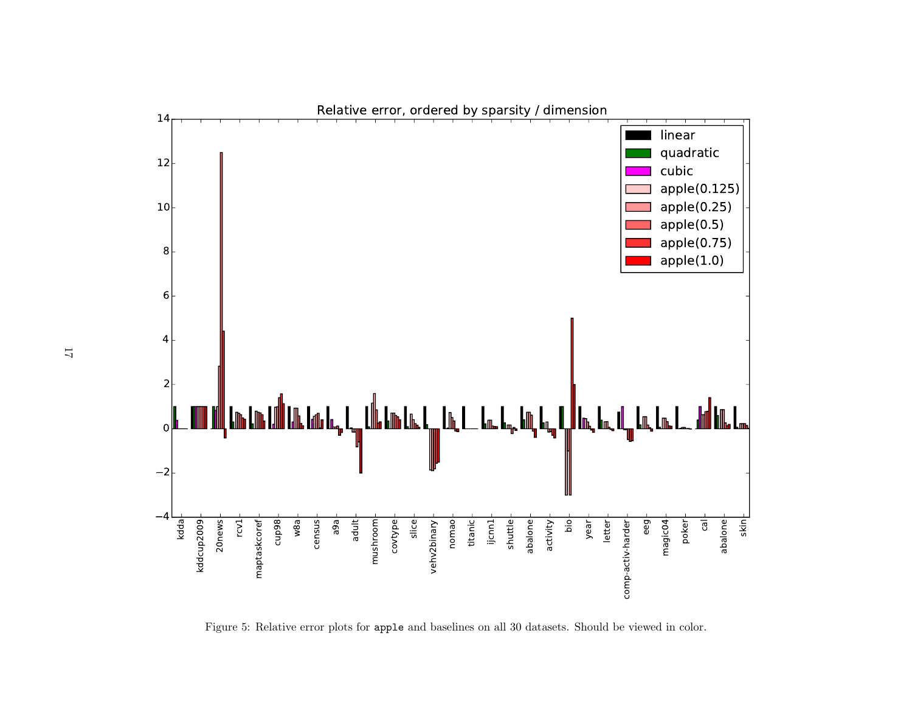<span id="page-16-0"></span>

Figure 5: Relative error <sup>p</sup>lots for apple and baselines on all <sup>30</sup> datasets. Should be viewed in color.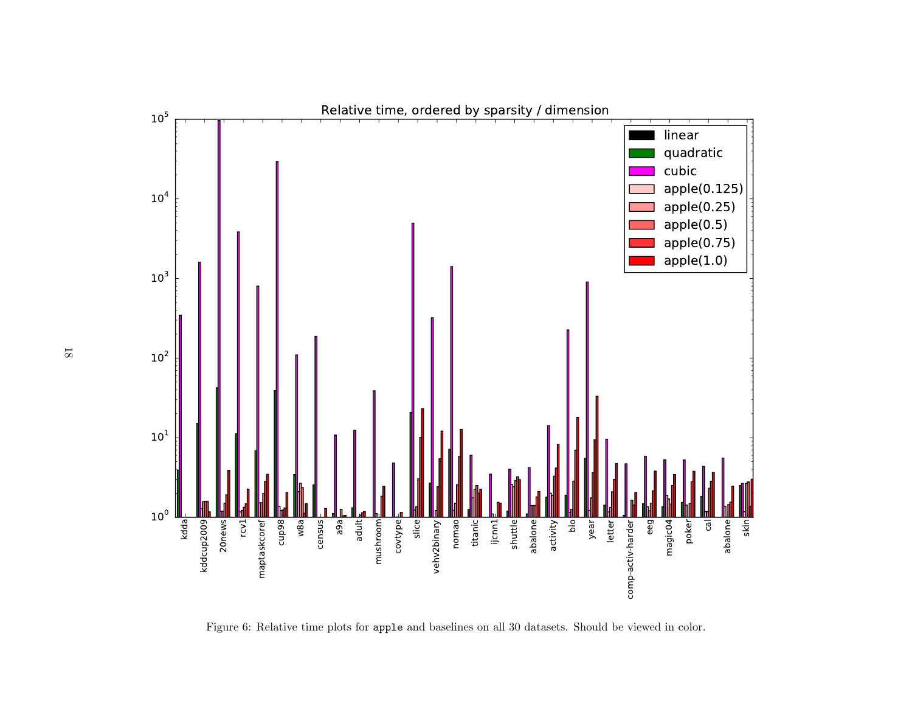<span id="page-17-0"></span>

Figure 6: Relative time <sup>p</sup>lots for apple and baselines on all <sup>30</sup> datasets. Should be viewed in color.

18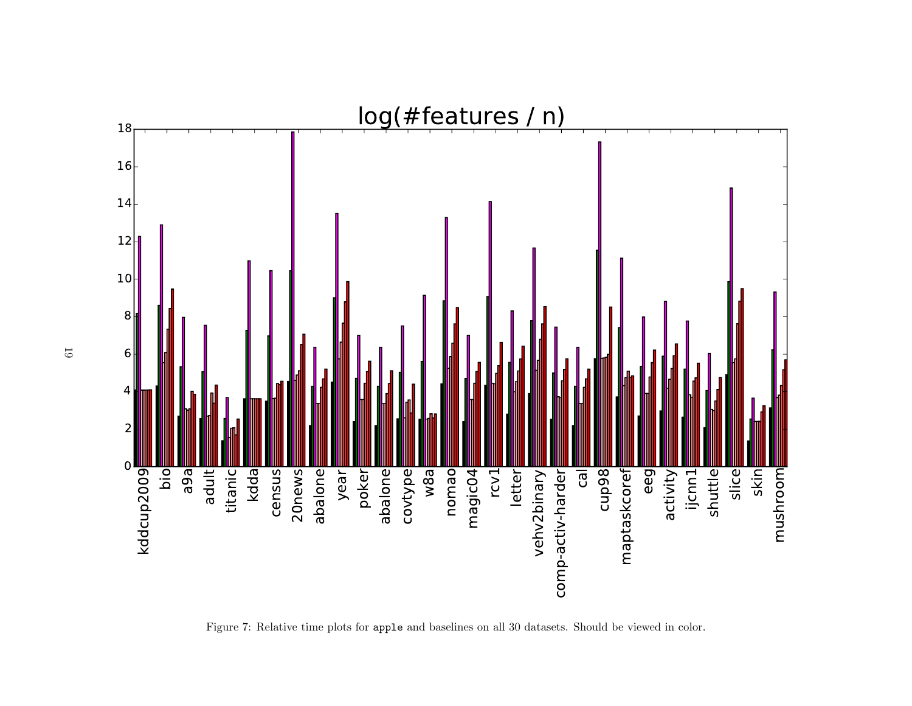<span id="page-18-0"></span>

Figure 7: Relative time <sup>p</sup>lots for apple and baselines on all <sup>30</sup> datasets. Should be viewed in color.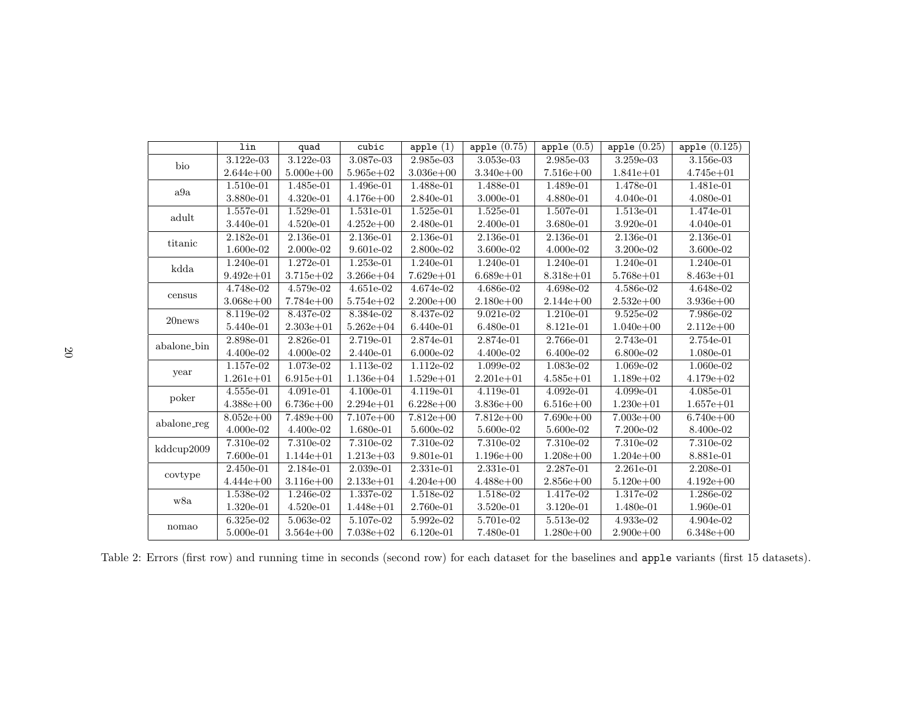<span id="page-19-0"></span>

|             | lin           | quad          | cubic         | apple $(1)$                   | apple $(0.75)$ | apple $(0.5)$                 | apple $(0.25)$ | apple $(0.125)$ |
|-------------|---------------|---------------|---------------|-------------------------------|----------------|-------------------------------|----------------|-----------------|
| bio         | 3.122e-03     | 3.122e-03     | 3.087e-03     | 2.985e-03                     | 3.053e-03      | 2.985e-03                     | 3.259e-03      | 3.156e-03       |
|             | $2.644e + 00$ | $5.000e + 00$ | $5.965e+02$   | $3.036e + 00$                 | $3.340e + 00$  | $7.516e + 00$                 | $1.841e + 01$  | $4.745e + 01$   |
| a9a         | $1.510e-01$   | 1.485e-01     | 1.496e-01     | 1.488e-01                     | 1.488e-01      | 1.489e-01                     | 1.478e-01      | 1.481e-01       |
|             | 3.880e-01     | $4.320e-01$   | $4.176e + 00$ | 2.840e-01                     | 3.000e-01      | 4.880e-01                     | $4.040e-01$    | 4.080e-01       |
| adult       | 1.557e-01     | 1.529e-01     | 1.531e-01     | 1.525e-01                     | 1.525e-01      | 1.507e-01                     | 1.513e-01      | 1.474e-01       |
|             | 3.440e-01     | $4.520e-01$   | $4.252e+00$   | 2.480e-01                     | 2.400e-01      | 3.680e-01                     | 3.920e-01      | 4.040e-01       |
| titanic     | 2.182e-01     | 2.136e-01     | 2.136e-01     | 2.136e-01                     | 2.136e-01      | 2.136e-01                     | 2.136e-01      | 2.136e-01       |
|             | 1.600e-02     | 2.000e-02     | 9.601e-02     | 2.800e-02                     | 3.600e-02      | 4.000e-02                     | 3.200e-02      | $3.600e-02$     |
| kdda        | 1.240e-01     | 1.272e-01     | 1.253e-01     | $1.240e-01$                   | 1.240e-01      | 1.240e-01                     | 1.240e-01      | 1.240e-01       |
|             | $9.492e + 01$ | $3.715e + 02$ | $3.266e + 04$ | $7.629e + 01$                 | $6.689e + 01$  | $8.318e + 01$                 | $5.768e + 01$  | $8.463e + 01$   |
| census      | 4.748e-02     | 4.579e-02     | $4.651e-02$   | 4.674e-02                     | 4.686e-02      | 4.698e-02                     | 4.586e-02      | 4.648e-02       |
|             | $3.068e + 00$ | $7.784e + 00$ | $5.754e + 02$ | $2.200e + 00$                 | $2.180e + 00$  | $2.144e + 00$                 | $2.532e+00$    | $3.936e + 00$   |
|             | 8.119e-02     | 8.437e-02     | 8.384e-02     | 8.437e-02                     | $9.021e-02$    | 1.210e-01                     | 9.525e-02      | 7.986e-02       |
| 20news      | 5.440e-01     | $2.303e + 01$ | $5.262e + 04$ | 6.440e-01                     | 6.480e-01      | 8.121e-01                     | $1.040e + 00$  | $2.112e + 00$   |
| abalone_bin | 2.898e-01     | 2.826e-01     | $2.719e-01$   | 2.874e-01                     | $2.874e-01$    | 2.766e-01                     | 2.743e-01      | 2.754e-01       |
|             | 4.400e-02     | 4.000e-02     | 2.440e-01     | 6.000e-02                     | 4.400e-02      | 6.400e-02                     | 6.800e-02      | 1.080e-01       |
| year        | 1.157e-02     | 1.073e-02     | 1.113e-02     | 1.112e-02                     | 1.099e-02      | 1.083e-02                     | 1.069e-02      | 1.060e-02       |
|             | $1.261e + 01$ | $6.915e + 01$ | $1.136e + 04$ | $1.529e + 01$                 | $2.201e + 01$  | $4.585e + 01$                 | $1.189e+02$    | $4.179e + 02$   |
| poker       | $4.555e-01$   | 4.091e-01     | 4.100e-01     | 4.119e-01                     | 4.119e-01      | 4.092e-01                     | 4.099e-01      | 4.085e-01       |
|             | $4.388e+00$   | $6.736e + 00$ | $2.294e + 01$ | $6.228e + 00$                 | $3.836e + 00$  | $6.516e + 00$                 | $1.230e + 01$  | $1.657e + 01$   |
| abalone_reg | $8.052e + 00$ | $7.489e+00$   | $7.107e + 00$ | $7.812e+00$                   | $7.812e+00$    | $7.690e + 00$                 | $7.003e + 00$  | $6.740e + 00$   |
|             | 4.000e-02     | 4.400e-02     | 1.680e-01     | $5.600 {\text{e}\hbox{-}} 02$ | 5.600e-02      | $5.600 {\text{e}\hbox{-}} 02$ | 7.200e-02      | 8.400e-02       |
| kddcup2009  | $7.310e-02$   | 7.310e-02     | 7.310e-02     | 7.310e-02                     | 7.310e-02      | 7.310e-02                     | 7.310e-02      | 7.310e-02       |
|             | 7.600e-01     | $1.144e + 01$ | $1.213e + 03$ | 9.801e-01                     | $1.196e + 00$  | $1.208e + 00$                 | $1.204e + 00$  | 8.881e-01       |
| covtype     | 2.450e-01     | 2.184e-01     | 2.039e-01     | 2.331e-01                     | 2.331e-01      | 2.287e-01                     | 2.261e-01      | 2.208e-01       |
|             | $4.444e + 00$ | $3.116e + 00$ | $2.133e + 01$ | $4.204e + 00$                 | $4.488e + 00$  | $2.856e + 00$                 | $5.120e + 00$  | $4.192e + 00$   |
| w8a         | 1.538e-02     | 1.246e-02     | 1.337e-02     | 1.518e-02                     | 1.518e-02      | 1.417e-02                     | 1.317e-02      | 1.286e-02       |
|             | $1.320e-01$   | $4.520e-01$   | $1.448e + 01$ | 2.760e-01                     | 3.520e-01      | $3.120e-01$                   | 1.480e-01      | 1.960e-01       |
| nomao       | 6.325e-02     | 5.063e-02     | 5.107e-02     | 5.992e-02                     | 5.701e-02      | 5.513e-02                     | 4.933e-02      | 4.904e-02       |
|             | 5.000e-01     | $3.564e+00$   | $7.038e + 02$ | $6.120e-01$                   | 7.480e-01      | $1.280e + 00$                 | $2.900e + 00$  | $6.348e + 00$   |

Table 2: Errors (first row) and running time in seconds (second row) for each dataset for the baselines and apple variants (first <sup>15</sup> datasets).